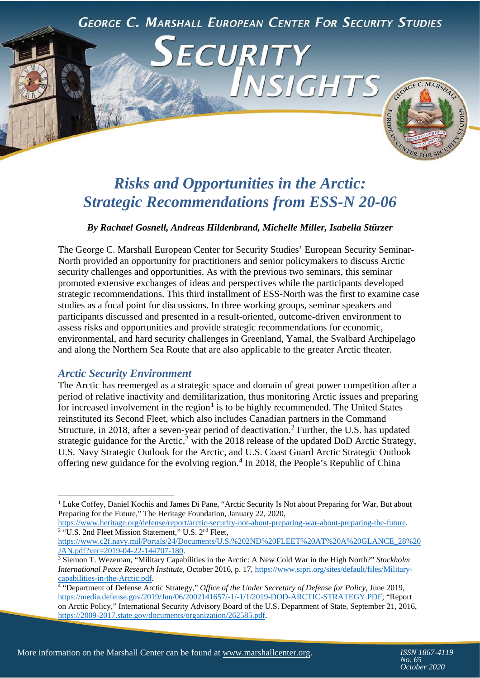

CURITY

NSIGHTS

<span id="page-0-3"></span><span id="page-0-2"></span><span id="page-0-1"></span><span id="page-0-0"></span>GEORGE C. MARSH

# *Risks and Opportunities in the Arctic: Strategic Recommendations from ESS-N 20-06*

#### *By Rachael Gosnell, Andreas Hildenbrand, Michelle Miller, Isabella Stürzer*

The George C. Marshall European Center for Security Studies' European Security Seminar-North provided an opportunity for practitioners and senior policymakers to discuss Arctic security challenges and opportunities. As with the previous two seminars, this seminar promoted extensive exchanges of ideas and perspectives while the participants developed strategic recommendations. This third installment of ESS-North was the first to examine case studies as a focal point for discussions. In three working groups, seminar speakers and participants discussed and presented in a result-oriented, outcome-driven environment to assess risks and opportunities and provide strategic recommendations for economic, environmental, and hard security challenges in Greenland, Yamal, the Svalbard Archipelago and along the Northern Sea Route that are also applicable to the greater Arctic theater.

#### *Arctic Security Environment*

The Arctic has reemerged as a strategic space and domain of great power competition after a period of relative inactivity and demilitarization, thus monitoring Arctic issues and preparing for increased involvement in the region<sup>[1](#page-0-0)</sup> is to be highly recommended. The United States reinstituted its Second Fleet, which also includes Canadian partners in the Command Structure, in [2](#page-0-1)018, after a seven-year period of deactivation.<sup>2</sup> Further, the U.S. has updated strategic guidance for the Arctic,<sup>[3](#page-0-2)</sup> with the 2018 release of the updated DoD Arctic Strategy, U.S. Navy Strategic Outlook for the Arctic, and U.S. Coast Guard Arctic Strategic Outlook offering new guidance for the evolving region.<sup>[4](#page-0-3)</sup> In 2018, the People's Republic of China

https://www.heritage.org/defense/report/arctic-security-not-about-preparing-war-about-preparing-the-future.<br><sup>2</sup> "U.S. 2nd Fleet Mission Statement," U.S. 2<sup>nd</sup> Fleet,

[https://www.c2f.navy.mil/Portals/24/Documents/U.S.%202ND%20FLEET%20AT%20A%20GLANCE\\_28%20](https://www.c2f.navy.mil/Portals/24/Documents/U.S.%202ND%20FLEET%20AT%20A%20GLANCE_28%20JAN.pdf?ver=2019-04-22-144707-180)<br>JAN.pdf?ver=2019-04-22-144707-180.

<sup>&</sup>lt;sup>1</sup> Luke Coffey, Daniel Kochis and James Di Pane, "Arctic Security Is Not about Preparing for War, But about Preparing for the Future," The Heritage Foundation, January 22, 2020,

<sup>&</sup>lt;sup>3</sup> Siemon T. Wezeman, "Military Capabilities in the Arctic: A New Cold War in the High North?" *Stockholm International Peace Research Institute*, October 2016, p. 17, [https://www.sipri.org/sites/default/files/Military](https://www.sipri.org/sites/default/files/Military-capabilities-in-the-Arctic.pdf)[capabilities-in-the-Arctic.pdf.](https://www.sipri.org/sites/default/files/Military-capabilities-in-the-Arctic.pdf)

<sup>4</sup> "Department of Defense Arctic Strategy," *Office of the Under Secretary of Defense for Policy*, June 2019, [https://media.defense.gov/2019/Jun/06/2002141657/-1/-1/1/2019-DOD-ARCTIC-STRATEGY.PDF;](https://media.defense.gov/2019/Jun/06/2002141657/-1/-1/1/2019-DOD-ARCTIC-STRATEGY.PDF) "Report on Arctic Policy," International Security Advisory Board of the U.S. Department of State*,* September 21, 2016, [https://2009-2017.state.gov/documents/organization/262585.pdf.](https://2009-2017.state.gov/documents/organization/262585.pdf)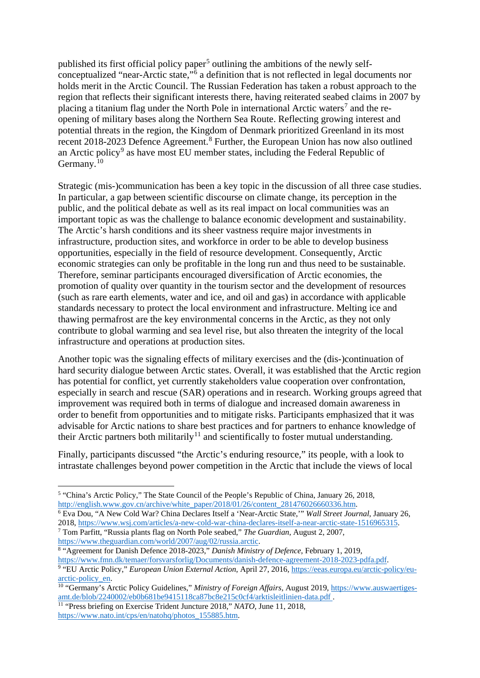<span id="page-1-6"></span><span id="page-1-5"></span><span id="page-1-4"></span><span id="page-1-3"></span><span id="page-1-2"></span><span id="page-1-1"></span><span id="page-1-0"></span>published its first official policy paper<sup>[5](#page-1-0)</sup> outlining the ambitions of the newly selfconceptualized "near-Arctic state,"[6](#page-1-1) a definition that is not reflected in legal documents nor holds merit in the Arctic Council. The Russian Federation has taken a robust approach to the region that reflects their significant interests there, having reiterated seabed claims in 2007 by placing a titanium flag under the North Pole in international Arctic waters<sup>[7](#page-1-2)</sup> and the reopening of military bases along the Northern Sea Route. Reflecting growing interest and potential threats in the region, the Kingdom of Denmark prioritized Greenland in its most recent 201[8](#page-1-3)-2023 Defence Agreement.<sup>8</sup> Further, the European Union has now also outlined an Arctic policy<sup>[9](#page-1-4)</sup> as have most EU member states, including the Federal Republic of Germany.<sup>[10](#page-1-5)</sup>

Strategic (mis-)communication has been a key topic in the discussion of all three case studies. In particular, a gap between scientific discourse on climate change, its perception in the public, and the political debate as well as its real impact on local communities was an important topic as was the challenge to balance economic development and sustainability. The Arctic's harsh conditions and its sheer vastness require major investments in infrastructure, production sites, and workforce in order to be able to develop business opportunities, especially in the field of resource development. Consequently, Arctic economic strategies can only be profitable in the long run and thus need to be sustainable. Therefore, seminar participants encouraged diversification of Arctic economies, the promotion of quality over quantity in the tourism sector and the development of resources (such as rare earth elements, water and ice, and oil and gas) in accordance with applicable standards necessary to protect the local environment and infrastructure. Melting ice and thawing permafrost are the key environmental concerns in the Arctic, as they not only contribute to global warming and sea level rise, but also threaten the integrity of the local infrastructure and operations at production sites.

Another topic was the signaling effects of military exercises and the (dis-)continuation of hard security dialogue between Arctic states. Overall, it was established that the Arctic region has potential for conflict, yet currently stakeholders value cooperation over confrontation, especially in search and rescue (SAR) operations and in research. Working groups agreed that improvement was required both in terms of dialogue and increased domain awareness in order to benefit from opportunities and to mitigate risks. Participants emphasized that it was advisable for Arctic nations to share best practices and for partners to enhance knowledge of their Arctic partners both militarily<sup>[11](#page-1-6)</sup> and scientifically to foster mutual understanding.

Finally, participants discussed "the Arctic's enduring resource," its people, with a look to intrastate challenges beyond power competition in the Arctic that include the views of local

<sup>6</sup> Eva Dou, "A New Cold War? China Declares Itself a 'Near-Arctic State,'" *Wall Street Journal*, January 26, 2018, [https://www.wsj.com/articles/a-new-cold-war-china-declares-itself-a-near-arctic-state-1516965315.](https://www.wsj.com/articles/a-new-cold-war-china-declares-itself-a-near-arctic-state-1516965315) <sup>7</sup> Tom Parfitt, "Russia plants flag on North Pole seabed," *The Guardian*, August 2, 2007,

https://www.theguardian.com/world/2007/aug/02/russia.arctic.

<sup>8</sup> "Agreement for Danish Defence 2018-2023," *Danish Ministry of Defence*, February 1, 2019, [https://www.fmn.dk/temaer/forsvarsforlig/Documents/danish-defence-agreement-2018-2023-pdfa.pdf.](https://www.fmn.dk/temaer/forsvarsforlig/Documents/danish-defence-agreement-2018-2023-pdfa.pdf)

**<sup>.</sup>** <sup>5</sup> "China's Arctic Policy," The State Council of the People's Republic of China, January 26, 2018, [http://english.www.gov.cn/archive/white\\_paper/2018/01/26/content\\_281476026660336.htm.](http://english.www.gov.cn/archive/white_paper/2018/01/26/content_281476026660336.htm)

<sup>9</sup> "EU Arctic Policy," *European Union External Action*, April 27, 2016, https://eeas.europa.eu/arctic-policy/euarctic-policy\_en.

<sup>&</sup>lt;sup>10</sup> "Germany's Arctic Policy Guidelines," Ministry of Foreign Affairs, August 2019[, https://www.auswaertiges](https://www.auswaertiges-amt.de/blob/2240002/eb0b681be9415118ca87bc8e215c0cf4/arktisleitlinien-data.pdf)[amt.de/blob/2240002/eb0b681be9415118ca87bc8e215c0cf4/arktisleitlinien-data.pdf](https://www.auswaertiges-amt.de/blob/2240002/eb0b681be9415118ca87bc8e215c0cf4/arktisleitlinien-data.pdf) .

<sup>11</sup> "Press briefing on Exercise Trident Juncture 2018," *NATO*, June 11, 2018, [https://www.nato.int/cps/en/natohq/photos\\_155885.htm.](https://www.nato.int/cps/en/natohq/photos_155885.htm)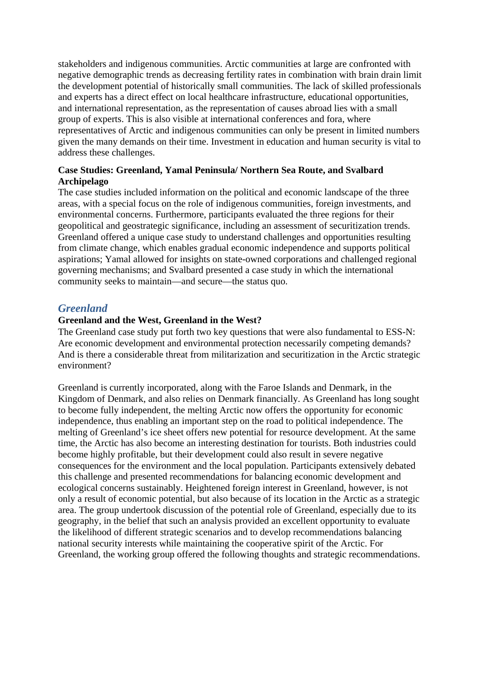stakeholders and indigenous communities. Arctic communities at large are confronted with negative demographic trends as decreasing fertility rates in combination with brain drain limit the development potential of historically small communities. The lack of skilled professionals and experts has a direct effect on local healthcare infrastructure, educational opportunities, and international representation, as the representation of causes abroad lies with a small group of experts. This is also visible at international conferences and fora, where representatives of Arctic and indigenous communities can only be present in limited numbers given the many demands on their time. Investment in education and human security is vital to address these challenges.

# **Case Studies: Greenland, Yamal Peninsula/ Northern Sea Route, and Svalbard Archipelago**

The case studies included information on the political and economic landscape of the three areas, with a special focus on the role of indigenous communities, foreign investments, and environmental concerns. Furthermore, participants evaluated the three regions for their geopolitical and geostrategic significance, including an assessment of securitization trends. Greenland offered a unique case study to understand challenges and opportunities resulting from climate change, which enables gradual economic independence and supports political aspirations; Yamal allowed for insights on state-owned corporations and challenged regional governing mechanisms; and Svalbard presented a case study in which the international community seeks to maintain—and secure—the status quo.

# *Greenland*

# **Greenland and the West, Greenland in the West?**

The Greenland case study put forth two key questions that were also fundamental to ESS-N: Are economic development and environmental protection necessarily competing demands? And is there a considerable threat from militarization and securitization in the Arctic strategic environment?

Greenland is currently incorporated, along with the Faroe Islands and Denmark, in the Kingdom of Denmark, and also relies on Denmark financially. As Greenland has long sought to become fully independent, the melting Arctic now offers the opportunity for economic independence, thus enabling an important step on the road to political independence. The melting of Greenland's ice sheet offers new potential for resource development. At the same time, the Arctic has also become an interesting destination for tourists. Both industries could become highly profitable, but their development could also result in severe negative consequences for the environment and the local population. Participants extensively debated this challenge and presented recommendations for balancing economic development and ecological concerns sustainably. Heightened foreign interest in Greenland, however, is not only a result of economic potential, but also because of its location in the Arctic as a strategic area. The group undertook discussion of the potential role of Greenland, especially due to its geography, in the belief that such an analysis provided an excellent opportunity to evaluate the likelihood of different strategic scenarios and to develop recommendations balancing national security interests while maintaining the cooperative spirit of the Arctic. For Greenland, the working group offered the following thoughts and strategic recommendations.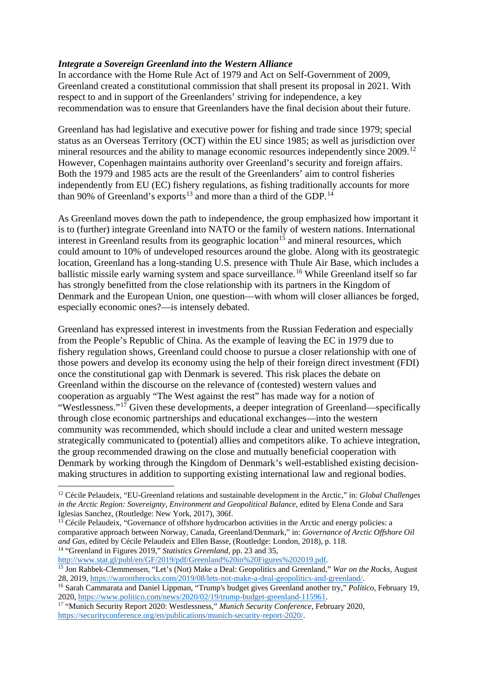# <span id="page-3-5"></span><span id="page-3-4"></span><span id="page-3-3"></span><span id="page-3-2"></span><span id="page-3-1"></span><span id="page-3-0"></span>*Integrate a Sovereign Greenland into the Western Alliance*

In accordance with the Home Rule Act of 1979 and Act on Self-Government of 2009, Greenland created a constitutional commission that shall present its proposal in 2021. With respect to and in support of the Greenlanders' striving for independence, a key recommendation was to ensure that Greenlanders have the final decision about their future.

Greenland has had legislative and executive power for fishing and trade since 1979; special status as an Overseas Territory (OCT) within the EU since 1985; as well as jurisdiction over mineral resources and the ability to manage economic resources independently since 2009.<sup>[12](#page-3-0)</sup> However, Copenhagen maintains authority over Greenland's security and foreign affairs. Both the 1979 and 1985 acts are the result of the Greenlanders' aim to control fisheries independently from EU (EC) fishery regulations, as fishing traditionally accounts for more than 90% of Greenland's exports<sup>[13](#page-3-1)</sup> and more than a third of the GDP.<sup>[14](#page-3-2)</sup>

As Greenland moves down the path to independence, the group emphasized how important it is to (further) integrate Greenland into NATO or the family of western nations. International interest in Greenland results from its geographic location<sup>[15](#page-3-3)</sup> and mineral resources, which could amount to 10% of undeveloped resources around the globe. Along with its geostrategic location, Greenland has a long-standing U.S. presence with Thule Air Base, which includes a ballistic missile early warning system and space surveillance.<sup>[16](#page-3-4)</sup> While Greenland itself so far has strongly benefitted from the close relationship with its partners in the Kingdom of Denmark and the European Union, one question—with whom will closer alliances be forged, especially economic ones?—is intensely debated.

Greenland has expressed interest in investments from the Russian Federation and especially from the People's Republic of China. As the example of leaving the EC in 1979 due to fishery regulation shows, Greenland could choose to pursue a closer relationship with one of those powers and develop its economy using the help of their foreign direct investment (FDI) once the constitutional gap with Denmark is severed. This risk places the debate on Greenland within the discourse on the relevance of (contested) western values and cooperation as arguably "The West against the rest" has made way for a notion of "Westlessness."[17](#page-3-5) Given these developments, a deeper integration of Greenland—specifically through close economic partnerships and educational exchanges—into the western community was recommended, which should include a clear and united western message strategically communicated to (potential) allies and competitors alike. To achieve integration, the group recommended drawing on the close and mutually beneficial cooperation with Denmark by working through the Kingdom of Denmark's well-established existing decisionmaking structures in addition to supporting existing international law and regional bodies.

[http://www.stat.gl/publ/en/GF/2019/pdf/Greenland%20in%20Figures%202019.pdf.](http://www.stat.gl/publ/en/GF/2019/pdf/Greenland%20in%20Figures%202019.pdf)

**<sup>.</sup>** <sup>12</sup> Cécile Pelaudeix, "EU-Greenland relations and sustainable development in the Arctic," in: *Global Challenges in the Arctic Region: Sovereignty, Environment and Geopolitical Balance*, edited by Elena Conde and Sara Iglesias Sanchez, (Routledge: New York, 2017), 306f.

<sup>&</sup>lt;sup>13</sup> Cécile Pelaudeix, "Governance of offshore hydrocarbon activities in the Arctic and energy policies: a comparative approach between Norway, Canada, Greenland/Denmark," in: *Governance of Arctic Offshore Oil and Gas*, edited by Cécile Pelaudeix and Ellen Basse, (Routledge: London, 2018), p. 118. <sup>14</sup> "Greenland in Figures 2019," *Statistics Greenland*, pp. 23 and 35,

<sup>&</sup>lt;sup>15</sup> Jon Rahbek-Clemmensen, "Let's (Not) Make a Deal: Geopolitics and Greenland," *War on the Rocks*, August 28, 2019, [https://warontherocks.com/2019/08/lets-not-make-a-deal-geopolitics-and-greenland/.](https://warontherocks.com/2019/08/lets-not-make-a-deal-geopolitics-and-greenland/)

<sup>16</sup> Sarah Cammarata and Daniel Lippman, "Trump's budget gives Greenland another try," *Politico*, February 19, 2020, [https://www.politico.com/news/2020/02/19/trump-budget-greenland-115961.](https://www.politico.com/news/2020/02/19/trump-budget-greenland-115961)

<sup>17</sup> "Munich Security Report 2020: Westlessness," *Munich Security Conference*, February 2020, [https://securityconference.org/en/publications/munich-security-report-2020/.](https://securityconference.org/en/publications/munich-security-report-2020/)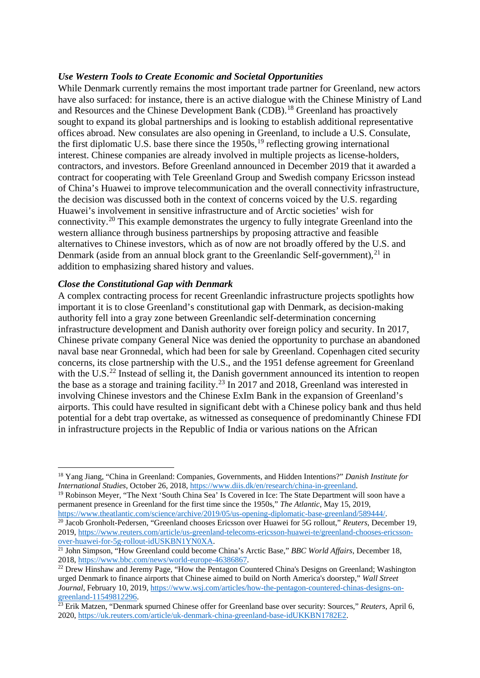#### <span id="page-4-5"></span><span id="page-4-4"></span><span id="page-4-3"></span><span id="page-4-2"></span><span id="page-4-1"></span><span id="page-4-0"></span>*Use Western Tools to Create Economic and Societal Opportunities*

While Denmark currently remains the most important trade partner for Greenland, new actors have also surfaced: for instance, there is an active dialogue with the Chinese Ministry of Land and Resources and the Chinese Development Bank (CDB).[18](#page-4-0) Greenland has proactively sought to expand its global partnerships and is looking to establish additional representative offices abroad. New consulates are also opening in Greenland, to include a U.S. Consulate, the first diplomatic U.S. base there since the  $1950s$  $1950s$ ,<sup>19</sup> reflecting growing international interest. Chinese companies are already involved in multiple projects as license-holders, contractors, and investors. Before Greenland announced in December 2019 that it awarded a contract for cooperating with Tele Greenland Group and Swedish company Ericsson instead of China's Huawei to improve telecommunication and the overall connectivity infrastructure, the decision was discussed both in the context of concerns voiced by the U.S. regarding Huawei's involvement in sensitive infrastructure and of Arctic societies' wish for connectivity.[20](#page-4-2) This example demonstrates the urgency to fully integrate Greenland into the western alliance through business partnerships by proposing attractive and feasible alternatives to Chinese investors, which as of now are not broadly offered by the U.S. and Denmark (aside from an annual block grant to the Greenlandic Self-government),<sup>[21](#page-4-3)</sup> in addition to emphasizing shared history and values.

#### *Close the Constitutional Gap with Denmark*

 $\overline{a}$ 

A complex contracting process for recent Greenlandic infrastructure projects spotlights how important it is to close Greenland's constitutional gap with Denmark, as decision-making authority fell into a gray zone between Greenlandic self-determination concerning infrastructure development and Danish authority over foreign policy and security. In 2017, Chinese private company General Nice was denied the opportunity to purchase an abandoned naval base near Gronnedal, which had been for sale by Greenland. Copenhagen cited security concerns, its close partnership with the U.S., and the 1951 defense agreement for Greenland with the U.S.<sup>[22](#page-4-4)</sup> Instead of selling it, the Danish government announced its intention to reopen the base as a storage and training facility.<sup>[23](#page-4-5)</sup> In 2017 and 2018, Greenland was interested in involving Chinese investors and the Chinese ExIm Bank in the expansion of Greenland's airports. This could have resulted in significant debt with a Chinese policy bank and thus held potential for a debt trap overtake, as witnessed as consequence of predominantly Chinese FDI in infrastructure projects in the Republic of India or various nations on the African

<sup>18</sup> Yang Jiang, "China in Greenland: Companies, Governments, and Hidden Intentions?" *Danish Institute for International Studies*, October 26, 2018, [https://www.diis.dk/en/research/china-in-greenland.](https://www.diis.dk/en/research/china-in-greenland)

<sup>19</sup> Robinson Meyer, "The Next 'South China Sea' Is Covered in Ice: The State Department will soon have a permanent presence in Greenland for the first time since the 1950s," *The Atlantic*, May 15, 2019, [https://www.theatlantic.com/science/archive/2019/05/us-opening-diplomatic-base-greenland/589444/.](https://www.theatlantic.com/science/archive/2019/05/us-opening-diplomatic-base-greenland/589444/)

<sup>20</sup> Jacob Gronholt-Pedersen, "Greenland chooses Ericsson over Huawei for 5G rollout," *Reuters*, December 19, 2019, [https://www.reuters.com/article/us-greenland-telecoms-ericsson-huawei-te/greenland-chooses-ericsson](https://www.reuters.com/article/us-greenland-telecoms-ericsson-huawei-te/greenland-chooses-ericsson-over-huawei-for-5g-rollout-idUSKBN1YN0XA)[over-huawei-for-5g-rollout-idUSKBN1YN0XA.](https://www.reuters.com/article/us-greenland-telecoms-ericsson-huawei-te/greenland-chooses-ericsson-over-huawei-for-5g-rollout-idUSKBN1YN0XA)

<sup>&</sup>lt;sup>21</sup> John Simpson, "How Greenland could become China's Arctic Base," *BBC World Affairs*, December 18, 2018, [https://www.bbc.com/news/world-europe-46386867.](https://www.bbc.com/news/world-europe-46386867)

<sup>&</sup>lt;sup>22</sup> Drew Hinshaw and Jeremy Page, "How the Pentagon Countered China's Designs on Greenland; Washington urged Denmark to finance airports that Chinese aimed to build on North America's doorstep," *Wall Street Journal*, February 10, 2019, [https://www.wsj.com/articles/how-the-pentagon-countered-chinas-designs-on](https://www.wsj.com/articles/how-the-pentagon-countered-chinas-designs-on-greenland-11549812296)[greenland-11549812296.](https://www.wsj.com/articles/how-the-pentagon-countered-chinas-designs-on-greenland-11549812296)

<sup>23</sup> Erik Matzen, "Denmark spurned Chinese offer for Greenland base over security: Sources," *Reuters*, April 6, 2020, [https://uk.reuters.com/article/uk-denmark-china-greenland-base-idUKKBN1782E2.](https://uk.reuters.com/article/uk-denmark-china-greenland-base-idUKKBN1782E2)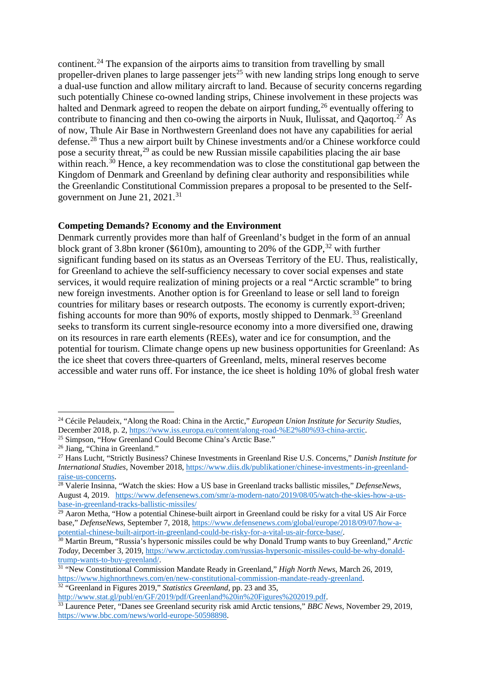<span id="page-5-9"></span><span id="page-5-8"></span><span id="page-5-7"></span><span id="page-5-6"></span><span id="page-5-5"></span><span id="page-5-4"></span><span id="page-5-3"></span><span id="page-5-2"></span><span id="page-5-1"></span><span id="page-5-0"></span>continent.<sup>[24](#page-5-0)</sup> The expansion of the airports aims to transition from travelling by small propeller-driven planes to large passenger jets<sup>[25](#page-5-1)</sup> with new landing strips long enough to serve a dual-use function and allow military aircraft to land. Because of security concerns regarding such potentially Chinese co-owned landing strips, Chinese involvement in these projects was halted and Denmark agreed to reopen the debate on airport funding,  $^{26}$  $^{26}$  $^{26}$  eventually offering to contribute to financing and then co-owing the airports in Nuuk, Ilulissat, and Oagortog.<sup>[27](#page-5-3)</sup> As of now, Thule Air Base in Northwestern Greenland does not have any capabilities for aerial defense.[28](#page-5-4) Thus a new airport built by Chinese investments and/or a Chinese workforce could pose a security threat,  $^{29}$  $^{29}$  $^{29}$  as could be new Russian missile capabilities placing the air base within reach.<sup>[30](#page-5-6)</sup> Hence, a key recommendation was to close the constitutional gap between the Kingdom of Denmark and Greenland by defining clear authority and responsibilities while the Greenlandic Constitutional Commission prepares a proposal to be presented to the Selfgovernment on June 21,  $2021.^{31}$  $2021.^{31}$  $2021.^{31}$ 

#### **Competing Demands? Economy and the Environment**

Denmark currently provides more than half of Greenland's budget in the form of an annual block grant of 3.8bn kroner (\$610m), amounting to 20% of the GDP,  $32$  with further significant funding based on its status as an Overseas Territory of the EU. Thus, realistically, for Greenland to achieve the self-sufficiency necessary to cover social expenses and state services, it would require realization of mining projects or a real "Arctic scramble" to bring new foreign investments. Another option is for Greenland to lease or sell land to foreign countries for military bases or research outposts. The economy is currently export-driven; fishing accounts for more than 90% of exports, mostly shipped to Denmark.[33](#page-5-9) Greenland seeks to transform its current single-resource economy into a more diversified one, drawing on its resources in rare earth elements (REEs), water and ice for consumption, and the potential for tourism. Climate change opens up new business opportunities for Greenland: As the ice sheet that covers three-quarters of Greenland, melts, mineral reserves become accessible and water runs off. For instance, the ice sheet is holding 10% of global fresh water

 $\overline{a}$ 

<sup>24</sup> Cécile Pelaudeix, "Along the Road: China in the Arctic," *European Union Institute for Security Studies*, December 2018, p. 2, [https://www.iss.europa.eu/content/along-road-%E2%80%93-china-arctic.](https://www.iss.europa.eu/content/along-road-%E2%80%93-china-arctic)

<sup>&</sup>lt;sup>25</sup> Simpson, "How Greenland Could Become China's Arctic Base."

<sup>&</sup>lt;sup>26</sup> Jiang, "China in Greenland."

<sup>27</sup> Hans Lucht, "Strictly Business? Chinese Investments in Greenland Rise U.S. Concerns," *Danish Institute for International Studies*, November 2018, [https://www.diis.dk/publikationer/chinese-investments-in-greenland](https://www.diis.dk/publikationer/chinese-investments-in-greenland-raise-us-concerns)[raise-us-concerns.](https://www.diis.dk/publikationer/chinese-investments-in-greenland-raise-us-concerns)

<sup>28</sup> Valerie Insinna, "Watch the skies: How a US base in Greenland tracks ballistic missiles," *DefenseNews*, August 4, 2019. [https://www.defensenews.com/smr/a-modern-nato/2019/08/05/watch-the-skies-how-a-us](https://www.defensenews.com/smr/a-modern-nato/2019/08/05/watch-the-skies-how-a-us-base-in-greenland-tracks-ballistic-missiles/)[base-in-greenland-tracks-ballistic-missiles/](https://www.defensenews.com/smr/a-modern-nato/2019/08/05/watch-the-skies-how-a-us-base-in-greenland-tracks-ballistic-missiles/)

<sup>&</sup>lt;sup>29</sup> Aaron Metha, "How a potential Chinese-built airport in Greenland could be risky for a vital US Air Force base," *DefenseNews*, September 7, 2018, [https://www.defensenews.com/global/europe/2018/09/07/how-a](https://www.defensenews.com/global/europe/2018/09/07/how-a-potential-chinese-built-airport-in-greenland-could-be-risky-for-a-vital-us-air-force-base/)[potential-chinese-built-airport-in-greenland-could-be-risky-for-a-vital-us-air-force-base/.](https://www.defensenews.com/global/europe/2018/09/07/how-a-potential-chinese-built-airport-in-greenland-could-be-risky-for-a-vital-us-air-force-base/)

<sup>30</sup> Martin Breum, "Russia's hypersonic missiles could be why Donald Trump wants to buy Greenland," *Arctic Today*, December 3, 2019, [https://www.arctictoday.com/russias-hypersonic-missiles-could-be-why-donald](https://www.arctictoday.com/russias-hypersonic-missiles-could-be-why-donald-trump-wants-to-buy-greenland/)[trump-wants-to-buy-greenland/.](https://www.arctictoday.com/russias-hypersonic-missiles-could-be-why-donald-trump-wants-to-buy-greenland/)

<sup>31</sup> "New Constitutional Commission Mandate Ready in Greenland," *High North News*, March 26, 2019, [https://www.highnorthnews.com/en/new-constitutional-commission-mandate-ready-greenland.](https://www.highnorthnews.com/en/new-constitutional-commission-mandate-ready-greenland)

<sup>32</sup> "Greenland in Figures 2019," *Statistics Greenland*, pp. 23 and 35,

[http://www.stat.gl/publ/en/GF/2019/pdf/Greenland%20in%20Figures%202019.pdf.](http://www.stat.gl/publ/en/GF/2019/pdf/Greenland%20in%20Figures%202019.pdf)

<sup>33</sup> Laurence Peter, "Danes see Greenland security risk amid Arctic tensions," *BBC News*, November 29, 2019, [https://www.bbc.com/news/world-europe-50598898.](https://www.bbc.com/news/world-europe-50598898)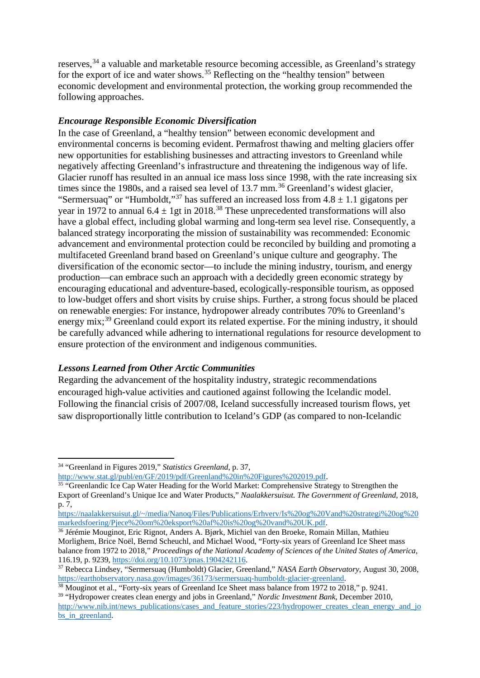<span id="page-6-5"></span><span id="page-6-4"></span><span id="page-6-3"></span><span id="page-6-2"></span><span id="page-6-1"></span><span id="page-6-0"></span>reserves,<sup>[34](#page-6-0)</sup> a valuable and marketable resource becoming accessible, as Greenland's strategy for the export of ice and water shows.<sup>[35](#page-6-1)</sup> Reflecting on the "healthy tension" between economic development and environmental protection, the working group recommended the following approaches.

# *Encourage Responsible Economic Diversification*

In the case of Greenland, a "healthy tension" between economic development and environmental concerns is becoming evident. Permafrost thawing and melting glaciers offer new opportunities for establishing businesses and attracting investors to Greenland while negatively affecting Greenland's infrastructure and threatening the indigenous way of life. Glacier runoff has resulted in an annual ice mass loss since 1998, with the rate increasing six times since the 1980s, and a raised sea level of 13.7 mm.<sup>[36](#page-6-2)</sup> Greenland's widest glacier, "Sermersuaq" or "Humboldt,"<sup>[37](#page-6-3)</sup> has suffered an increased loss from  $4.8 \pm 1.1$  gigatons per year in 1972 to annual  $6.4 \pm 1$ gt in 2018.<sup>[38](#page-6-4)</sup> These unprecedented transformations will also have a global effect, including global warming and long-term sea level rise. Consequently, a balanced strategy incorporating the mission of sustainability was recommended: Economic advancement and environmental protection could be reconciled by building and promoting a multifaceted Greenland brand based on Greenland's unique culture and geography. The diversification of the economic sector—to include the mining industry, tourism, and energy production—can embrace such an approach with a decidedly green economic strategy by encouraging educational and adventure-based, ecologically-responsible tourism, as opposed to low-budget offers and short visits by cruise ships. Further, a strong focus should be placed on renewable energies: For instance, hydropower already contributes 70% to Greenland's energy mix;<sup>[39](#page-6-5)</sup> Greenland could export its related expertise. For the mining industry, it should be carefully advanced while adhering to international regulations for resource development to ensure protection of the environment and indigenous communities.

# *Lessons Learned from Other Arctic Communities*

Regarding the advancement of the hospitality industry, strategic recommendations encouraged high-value activities and cautioned against following the Icelandic model. Following the financial crisis of 2007/08, Iceland successfully increased tourism flows, yet saw disproportionally little contribution to Iceland's GDP (as compared to non-Icelandic

**.** 

<sup>34</sup> "Greenland in Figures 2019," *Statistics Greenland*, p. 37,

[http://www.stat.gl/publ/en/GF/2019/pdf/Greenland%20in%20Figures%202019.pdf.](http://www.stat.gl/publ/en/GF/2019/pdf/Greenland%20in%20Figures%202019.pdf)

<sup>&</sup>lt;sup>35</sup> "Greenlandic Ice Cap Water Heading for the World Market: Comprehensive Strategy to Strengthen the Export of Greenland's Unique Ice and Water Products," *Naalakkersuisut. The Government of Greenland*, 2018, p. 7,

[https://naalakkersuisut.gl/~/media/Nanoq/Files/Publications/Erhverv/Is%20og%20Vand%20strategi%20og%20](https://naalakkersuisut.gl/%7E/media/Nanoq/Files/Publications/Erhverv/Is%20og%20Vand%20strategi%20og%20markedsfoering/Pjece%20om%20eksport%20af%20is%20og%20vand%20UK.pdf) [markedsfoering/Pjece%20om%20eksport%20af%20is%20og%20vand%20UK.pdf.](https://naalakkersuisut.gl/%7E/media/Nanoq/Files/Publications/Erhverv/Is%20og%20Vand%20strategi%20og%20markedsfoering/Pjece%20om%20eksport%20af%20is%20og%20vand%20UK.pdf)

<sup>36</sup> Jérémie Mouginot, Eric Rignot, Anders A. Bjørk, Michiel van den Broeke, Romain Millan, Mathieu Morlighem, Brice Noël, Bernd Scheuchl, and Michael Wood, "Forty-six years of Greenland Ice Sheet mass balance from 1972 to 2018," *Proceedings of the National Academy of Sciences of the United States of America*, 116.19, p. 9239, https://doi.org/10.1073/pnas.1904242116.

<sup>&</sup>lt;sup>37</sup> Rebecca Lindsey, "Sermersuaq (Humboldt) Glacier, Greenland," *NASA Earth Observatory*, August 30, 2008, https://earthobservatory.nasa.gov/images/36173/sermersuaq-humboldt-glacier-greenland.

 $\frac{38}{38}$  Mouginot et al., "Forty-six years of Greenland Ice Sheet mass balance from 1972 to 2018," p. 9241. <sup>39</sup> "Hydropower creates clean energy and jobs in Greenland," *Nordic Investment Bank*, December 2010,

[http://www.nib.int/news\\_publications/cases\\_and\\_feature\\_stories/223/hydropower\\_creates\\_clean\\_energy\\_and\\_jo](http://www.nib.int/news_publications/cases_and_feature_stories/223/hydropower_creates_clean_energy_and_jobs_in_greenland) bs in greenland.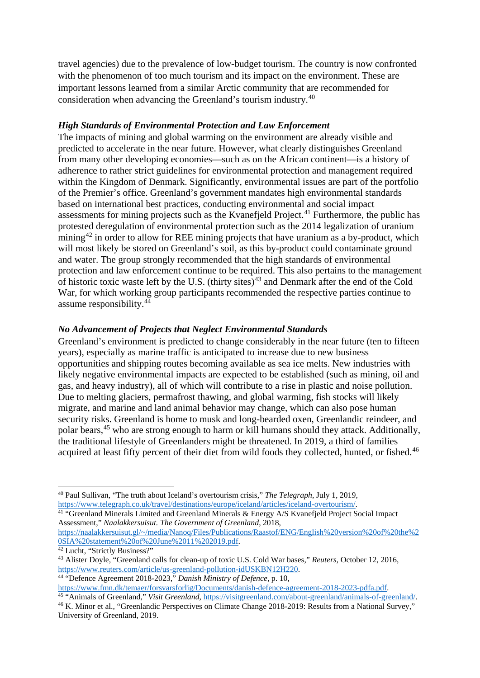<span id="page-7-6"></span><span id="page-7-5"></span><span id="page-7-4"></span><span id="page-7-3"></span><span id="page-7-2"></span><span id="page-7-1"></span><span id="page-7-0"></span>travel agencies) due to the prevalence of low-budget tourism. The country is now confronted with the phenomenon of too much tourism and its impact on the environment. These are important lessons learned from a similar Arctic community that are recommended for consideration when advancing the Greenland's tourism industry.[40](#page-7-0)

## *High Standards of Environmental Protection and Law Enforcement*

The impacts of mining and global warming on the environment are already visible and predicted to accelerate in the near future. However, what clearly distinguishes Greenland from many other developing economies—such as on the African continent—is a history of adherence to rather strict guidelines for environmental protection and management required within the Kingdom of Denmark. Significantly, environmental issues are part of the portfolio of the Premier's office. Greenland's government mandates high environmental standards based on international best practices, conducting environmental and social impact assessments for mining projects such as the Kvanefjeld Project.<sup>[41](#page-7-1)</sup> Furthermore, the public has protested deregulation of environmental protection such as the 2014 legalization of uranium mining<sup>[42](#page-7-2)</sup> in order to allow for REE mining projects that have uranium as a by-product, which will most likely be stored on Greenland's soil, as this by-product could contaminate ground and water. The group strongly recommended that the high standards of environmental protection and law enforcement continue to be required. This also pertains to the management of historic toxic waste left by the U.S. (thirty sites)<sup>[43](#page-7-3)</sup> and Denmark after the end of the Cold War, for which working group participants recommended the respective parties continue to assume responsibility.[44](#page-7-4)

# *No Advancement of Projects that Neglect Environmental Standards*

Greenland's environment is predicted to change considerably in the near future (ten to fifteen years), especially as marine traffic is anticipated to increase due to new business opportunities and shipping routes becoming available as sea ice melts. New industries with likely negative environmental impacts are expected to be established (such as mining, oil and gas, and heavy industry), all of which will contribute to a rise in plastic and noise pollution. Due to melting glaciers, permafrost thawing, and global warming, fish stocks will likely migrate, and marine and land animal behavior may change, which can also pose human security risks. Greenland is home to musk and long-bearded oxen, Greenlandic reindeer, and polar bears, [45](#page-7-5) who are strong enough to harm or kill humans should they attack. Additionally, the traditional lifestyle of Greenlanders might be threatened. In 2019, a third of families acquired at least fifty percent of their diet from wild foods they collected, hunted, or fished.<sup>[46](#page-7-6)</sup>

<sup>41</sup> "Greenland Minerals Limited and Greenland Minerals & Energy A/S Kvanefjeld Project Social Impact Assessment," *Naalakkersuisut. The Government of Greenland*, 2018, [https://naalakkersuisut.gl/~/media/Nanoq/Files/Publications/Raastof/ENG/English%20version%20of%20the%2](https://naalakkersuisut.gl/%7E/media/Nanoq/Files/Publications/Raastof/ENG/English%20version%20of%20the%20SIA%20statement%20of%20June%2011%202019.pdf) [0SIA%20statement%20of%20June%2011%202019.pdf.](https://naalakkersuisut.gl/%7E/media/Nanoq/Files/Publications/Raastof/ENG/English%20version%20of%20the%20SIA%20statement%20of%20June%2011%202019.pdf)<br><sup>42</sup> Lucht, "Strictly Business?"

**<sup>.</sup>** <sup>40</sup> Paul Sullivan, "The truth about Iceland's overtourism crisis," *The Telegraph*, July 1, 2019, [https://www.telegraph.co.uk/travel/destinations/europe/iceland/articles/iceland-overtourism/.](https://www.telegraph.co.uk/travel/destinations/europe/iceland/articles/iceland-overtourism/)

<sup>&</sup>lt;sup>43</sup> Alister Doyle, "Greenland calls for clean-up of toxic U.S. Cold War bases," *Reuters*, October 12, 2016, [https://www.reuters.com/article/us-greenland-pollution-idUSKBN12H220.](https://www.reuters.com/article/us-greenland-pollution-idUSKBN12H220)

<sup>44</sup> "Defence Agreement 2018-2023," *Danish Ministry of Defence,* p. 10, [https://www.fmn.dk/temaer/forsvarsforlig/Documents/danish-defence-agreement-2018-2023-pdfa.pdf.](https://www.fmn.dk/temaer/forsvarsforlig/Documents/danish-defence-agreement-2018-2023-pdfa.pdf)

<sup>&</sup>lt;sup>45 "</sup>Animals of Greenland," *Visit Greenland*, [https://visitgreenland.com/about-greenland/animals-of-greenland/.](https://visitgreenland.com/about-greenland/animals-of-greenland/)

<sup>46</sup> K. Minor et al., "Greenlandic Perspectives on Climate Change 2018-2019: Results from a National Survey," University of Greenland, 2019.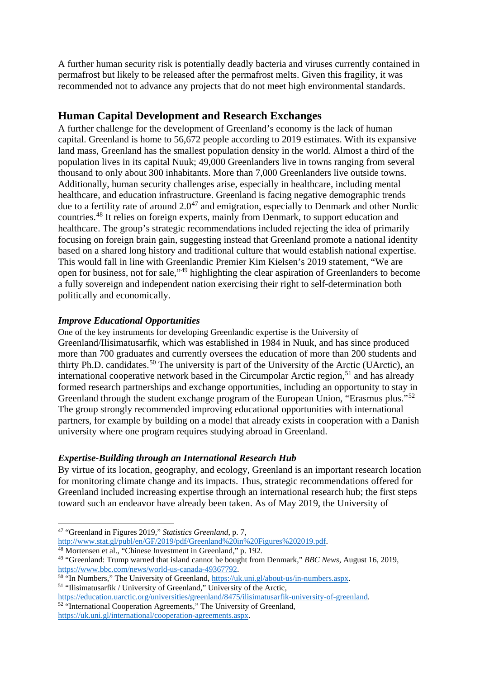<span id="page-8-5"></span><span id="page-8-4"></span><span id="page-8-3"></span><span id="page-8-2"></span><span id="page-8-1"></span><span id="page-8-0"></span>A further human security risk is potentially deadly bacteria and viruses currently contained in permafrost but likely to be released after the permafrost melts. Given this fragility, it was recommended not to advance any projects that do not meet high environmental standards.

# **Human Capital Development and Research Exchanges**

A further challenge for the development of Greenland's economy is the lack of human capital. Greenland is home to 56,672 people according to 2019 estimates. With its expansive land mass, Greenland has the smallest population density in the world. Almost a third of the population lives in its capital Nuuk; 49,000 Greenlanders live in towns ranging from several thousand to only about 300 inhabitants. More than 7,000 Greenlanders live outside towns. Additionally, human security challenges arise, especially in healthcare, including mental healthcare, and education infrastructure. Greenland is facing negative demographic trends due to a fertility rate of around  $2.0^{47}$  $2.0^{47}$  $2.0^{47}$  and emigration, especially to Denmark and other Nordic countries.[48](#page-8-1) It relies on foreign experts, mainly from Denmark, to support education and healthcare. The group's strategic recommendations included rejecting the idea of primarily focusing on foreign brain gain, suggesting instead that Greenland promote a national identity based on a shared long history and traditional culture that would establish national expertise. This would fall in line with Greenlandic Premier Kim Kielsen's 2019 statement, "We are open for business, not for sale,"[49](#page-8-2) highlighting the clear aspiration of Greenlanders to become a fully sovereign and independent nation exercising their right to self-determination both politically and economically.

# *Improve Educational Opportunities*

One of the key instruments for developing Greenlandic expertise is the University of Greenland/Ilisimatusarfik, which was established in 1984 in Nuuk, and has since produced more than 700 graduates and currently oversees the education of more than 200 students and thirty Ph.D. candidates.<sup>[50](#page-8-3)</sup> The university is part of the University of the Arctic (UArctic), an international cooperative network based in the Circumpolar Arctic region,<sup>[51](#page-8-4)</sup> and has already formed research partnerships and exchange opportunities, including an opportunity to stay in Greenland through the student exchange program of the European Union, "Erasmus plus."<sup>[52](#page-8-5)</sup> The group strongly recommended improving educational opportunities with international partners, for example by building on a model that already exists in cooperation with a Danish university where one program requires studying abroad in Greenland.

# *Expertise-Building through an International Research Hub*

By virtue of its location, geography, and ecology, Greenland is an important research location for monitoring climate change and its impacts. Thus, strategic recommendations offered for Greenland included increasing expertise through an international research hub; the first steps toward such an endeavor have already been taken. As of May 2019, the University of

 $\overline{a}$ 

[https://education.uarctic.org/universities/greenland/8475/ilisimatusarfik-university-of-greenland.](https://education.uarctic.org/universities/greenland/8475/ilisimatusarfik-university-of-greenland) <sup>52</sup> "International Cooperation Agreements," The University of Greenland,

[https://uk.uni.gl/international/cooperation-agreements.aspx.](https://uk.uni.gl/international/cooperation-agreements.aspx)

<sup>47</sup> "Greenland in Figures 2019," *Statistics Greenland*, p. 7, [http://www.stat.gl/publ/en/GF/2019/pdf/Greenland%20in%20Figures%202019.pdf.](http://www.stat.gl/publ/en/GF/2019/pdf/Greenland%20in%20Figures%202019.pdf)

<sup>&</sup>lt;sup>48</sup> Mortensen et al., "Chinese Investment in Greenland," p. 192.

<sup>49</sup> "Greenland: Trump warned that island cannot be bought from Denmark," *BBC News*, August 16, 2019, [https://www.bbc.com/news/world-us-canada-49367792.](https://www.bbc.com/news/world-us-canada-49367792)

<sup>50 &</sup>quot;In Numbers," The University of Greenland[, https://uk.uni.gl/about-us/in-numbers.aspx.](https://uk.uni.gl/about-us/in-numbers.aspx) <sup>51</sup> "Ilisimatusarfik / University of Greenland," University of the Arctic*,*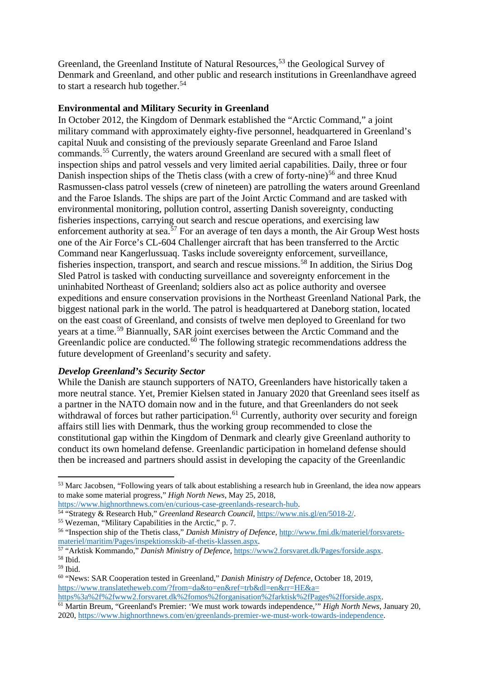<span id="page-9-8"></span><span id="page-9-7"></span><span id="page-9-6"></span><span id="page-9-5"></span><span id="page-9-4"></span><span id="page-9-3"></span><span id="page-9-2"></span><span id="page-9-1"></span><span id="page-9-0"></span>Greenland, the Greenland Institute of Natural Resources,<sup>[53](#page-9-0)</sup> the Geological Survey of Denmark and Greenland, and other public and research institutions in Greenlandhave agreed to start a research hub together.<sup>[54](#page-9-1)</sup>

### **Environmental and Military Security in Greenland**

In October 2012, the Kingdom of Denmark established the "Arctic Command," a joint military command with approximately eighty-five personnel, headquartered in Greenland's capital Nuuk and consisting of the previously separate Greenland and Faroe Island commands.[55](#page-9-2) Currently, the waters around Greenland are secured with a small fleet of inspection ships and patrol vessels and very limited aerial capabilities. Daily, three or four Danish inspection ships of the Thetis class (with a crew of forty-nine) [56](#page-9-3) and three Knud Rasmussen-class patrol vessels (crew of nineteen) are patrolling the waters around Greenland and the Faroe Islands. The ships are part of the Joint Arctic Command and are tasked with environmental monitoring, pollution control, asserting Danish sovereignty, conducting fisheries inspections, carrying out search and rescue operations, and exercising law enforcement authority at sea.<sup>[57](#page-9-4)</sup> For an average of ten days a month, the Air Group West hosts one of the Air Force's CL-604 Challenger aircraft that has been transferred to the Arctic Command near Kangerlussuaq. Tasks include sovereignty enforcement, surveillance, fisheries inspection, transport, and search and rescue missions.<sup>[58](#page-9-5)</sup> In addition, the Sirius Dog Sled Patrol is tasked with conducting surveillance and sovereignty enforcement in the uninhabited Northeast of Greenland; soldiers also act as police authority and oversee expeditions and ensure conservation provisions in the Northeast Greenland National Park, the biggest national park in the world. The patrol is headquartered at Daneborg station, located on the east coast of Greenland, and consists of twelve men deployed to Greenland for two years at a time.[59](#page-9-6) Biannually, SAR joint exercises between the Arctic Command and the Greenlandic police are conducted. $60$  The following strategic recommendations address the future development of Greenland's security and safety.

#### *Develop Greenland's Security Sector*

While the Danish are staunch supporters of NATO, Greenlanders have historically taken a more neutral stance. Yet, Premier Kielsen stated in January 2020 that Greenland sees itself as a partner in the NATO domain now and in the future, and that Greenlanders do not seek withdrawal of forces but rather participation.<sup>[61](#page-9-8)</sup> Currently, authority over security and foreign affairs still lies with Denmark, thus the working group recommended to close the constitutional gap within the Kingdom of Denmark and clearly give Greenland authority to conduct its own homeland defense. Greenlandic participation in homeland defense should then be increased and partners should assist in developing the capacity of the Greenlandic

[https://www.highnorthnews.com/en/curious-case-greenlands-research-hub.](https://www.highnorthnews.com/en/curious-case-greenlands-research-hub)

**.** 

<sup>53</sup> Marc Jacobsen, "Following years of talk about establishing a research hub in Greenland, the idea now appears to make some material progress," *High North News*, May 25, 2018,

<sup>&</sup>lt;sup>54</sup> "Strategy & Research Hub," *Greenland Research Council*, [https://www.nis.gl/en/5018-2/.](https://www.nis.gl/en/5018-2/)<br><sup>55</sup> Wezeman, "Military Capabilities in the Arctic," p. 7.

<sup>56 &</sup>quot;Inspection ship of the Thetis class," *Danish Ministry of Defence*, [http://www.fmi.dk/materiel/forsvarets](http://www.fmi.dk/materiel/forsvarets-materiel/maritim/Pages/inspektionsskib-af-thetis-klassen.aspx)[materiel/maritim/Pages/inspektionsskib-af-thetis-klassen.aspx.](http://www.fmi.dk/materiel/forsvarets-materiel/maritim/Pages/inspektionsskib-af-thetis-klassen.aspx)

<sup>57</sup> "Arktisk Kommando," *Danish Ministry of Defence,* [https://www2.forsvaret.dk/Pages/forside.aspx.](https://www2.forsvaret.dk/Pages/forside.aspx) <sup>58</sup> Ibid.

<sup>59</sup> Ibid.

<sup>60</sup> "News: SAR Cooperation tested in Greenland," *Danish Ministry of Defence*, October 18, 2019, [https://www.translatetheweb.com/?from=da&to=en&ref=trb&dl=en&rr=HE&a=](https://www.translatetheweb.com/?from=da&to=en&ref=trb&dl=en&rr=HE&a=%20https%3a%2f%2fwww2.forsvaret.dk%2fomos%2forganisation%2farktisk%2fPages%2fforside.aspx)  [https%3a%2f%2fwww2.forsvaret.dk%2fomos%2forganisation%2farktisk%2fPages%2fforside.aspx.](https://www.translatetheweb.com/?from=da&to=en&ref=trb&dl=en&rr=HE&a=%20https%3a%2f%2fwww2.forsvaret.dk%2fomos%2forganisation%2farktisk%2fPages%2fforside.aspx)

<sup>61</sup> Martin Breum, "Greenland's Premier: 'We must work towards independence,'" *High North News*, January 20, 2020, [https://www.highnorthnews.com/en/greenlands-premier-we-must-work-towards-independence.](https://www.highnorthnews.com/en/greenlands-premier-we-must-work-towards-independence)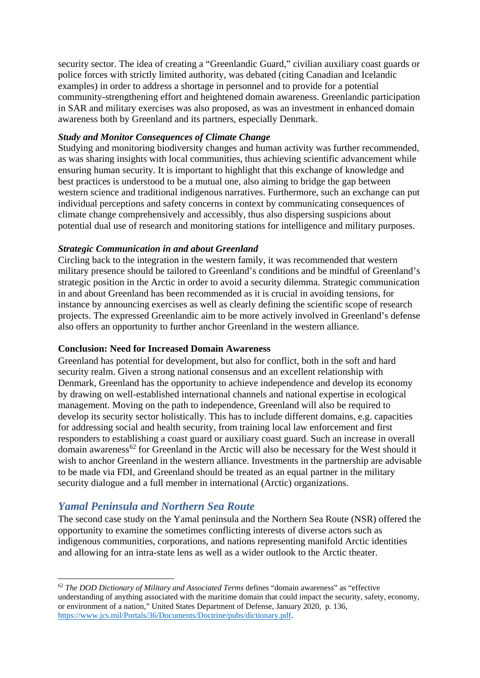<span id="page-10-0"></span>security sector. The idea of creating a "Greenlandic Guard," civilian auxiliary coast guards or police forces with strictly limited authority, was debated (citing Canadian and Icelandic examples) in order to address a shortage in personnel and to provide for a potential community-strengthening effort and heightened domain awareness. Greenlandic participation in SAR and military exercises was also proposed, as was an investment in enhanced domain awareness both by Greenland and its partners, especially Denmark.

#### *Study and Monitor Consequences of Climate Change*

Studying and monitoring biodiversity changes and human activity was further recommended, as was sharing insights with local communities, thus achieving scientific advancement while ensuring human security. It is important to highlight that this exchange of knowledge and best practices is understood to be a mutual one, also aiming to bridge the gap between western science and traditional indigenous narratives. Furthermore, such an exchange can put individual perceptions and safety concerns in context by communicating consequences of climate change comprehensively and accessibly, thus also dispersing suspicions about potential dual use of research and monitoring stations for intelligence and military purposes.

#### *Strategic Communication in and about Greenland*

Circling back to the integration in the western family, it was recommended that western military presence should be tailored to Greenland's conditions and be mindful of Greenland's strategic position in the Arctic in order to avoid a security dilemma. Strategic communication in and about Greenland has been recommended as it is crucial in avoiding tensions, for instance by announcing exercises as well as clearly defining the scientific scope of research projects. The expressed Greenlandic aim to be more actively involved in Greenland's defense also offers an opportunity to further anchor Greenland in the western alliance.

#### **Conclusion: Need for Increased Domain Awareness**

Greenland has potential for development, but also for conflict, both in the soft and hard security realm. Given a strong national consensus and an excellent relationship with Denmark, Greenland has the opportunity to achieve independence and develop its economy by drawing on well-established international channels and national expertise in ecological management. Moving on the path to independence, Greenland will also be required to develop its security sector holistically. This has to include different domains, e.g. capacities for addressing social and health security, from training local law enforcement and first responders to establishing a coast guard or auxiliary coast guard. Such an increase in overall domain awareness<sup>[62](#page-10-0)</sup> for Greenland in the Arctic will also be necessary for the West should it wish to anchor Greenland in the western alliance. Investments in the partnership are advisable to be made via FDI, and Greenland should be treated as an equal partner in the military security dialogue and a full member in international (Arctic) organizations.

# *Yamal Peninsula and Northern Sea Route*

 $\overline{a}$ 

The second case study on the Yamal peninsula and the Northern Sea Route (NSR) offered the opportunity to examine the sometimes conflicting interests of diverse actors such as indigenous communities, corporations, and nations representing manifold Arctic identities and allowing for an intra-state lens as well as a wider outlook to the Arctic theater.

<sup>62</sup> *The DOD Dictionary of Military and Associated Terms* defines "domain awareness" as "effective understanding of anything associated with the maritime domain that could impact the security, safety, economy, or environment of a nation," United States Department of Defense, January 2020, p. 136, [https://www.jcs.mil/Portals/36/Documents/Doctrine/pubs/dictionary.pdf.](https://www.jcs.mil/Portals/36/Documents/Doctrine/pubs/dictionary.pdf)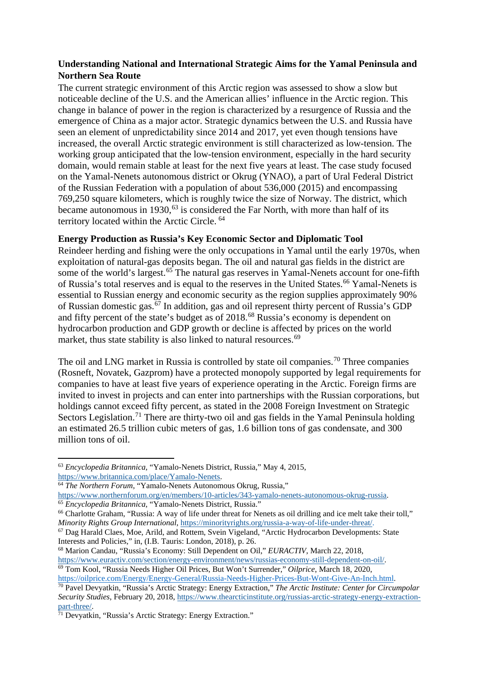# <span id="page-11-8"></span><span id="page-11-7"></span><span id="page-11-6"></span><span id="page-11-5"></span><span id="page-11-4"></span><span id="page-11-3"></span><span id="page-11-2"></span><span id="page-11-1"></span><span id="page-11-0"></span>**Understanding National and International Strategic Aims for the Yamal Peninsula and Northern Sea Route**

The current strategic environment of this Arctic region was assessed to show a slow but noticeable decline of the U.S. and the American allies' influence in the Arctic region. This change in balance of power in the region is characterized by a resurgence of Russia and the emergence of China as a major actor. Strategic dynamics between the U.S. and Russia have seen an element of unpredictability since 2014 and 2017, yet even though tensions have increased, the overall Arctic strategic environment is still characterized as low-tension. The working group anticipated that the low-tension environment, especially in the hard security domain, would remain stable at least for the next five years at least. The case study focused on the Yamal-Nenets autonomous district or Okrug (YNAO), a part of Ural Federal District of the Russian Federation with a population of about 536,000 (2015) and encompassing 769,250 square kilometers, which is roughly twice the size of Norway. The district, which became autonomous in 1930,  $63$  is considered the Far North, with more than half of its territory located within the Arctic Circle. [64](#page-11-1)

### **Energy Production as Russia's Key Economic Sector and Diplomatic Tool**

Reindeer herding and fishing were the only occupations in Yamal until the early 1970s, when exploitation of natural-gas deposits began. The oil and natural gas fields in the district are some of the world's largest.<sup>[65](#page-11-2)</sup> The natural gas reserves in Yamal-Nenets account for one-fifth of Russia's total reserves and is equal to the reserves in the United States.<sup>[66](#page-11-3)</sup> Yamal-Nenets is essential to Russian energy and economic security as the region supplies approximately 90% of Russian domestic gas.<sup>[67](#page-11-4)</sup> In addition, gas and oil represent thirty percent of Russia's GDP and fifty percent of the state's budget as of 2018.<sup>[68](#page-11-5)</sup> Russia's economy is dependent on hydrocarbon production and GDP growth or decline is affected by prices on the world market, thus state stability is also linked to natural resources.<sup>[69](#page-11-6)</sup>

The oil and LNG market in Russia is controlled by state oil companies.<sup>[70](#page-11-7)</sup> Three companies (Rosneft, Novatek, Gazprom) have a protected monopoly supported by legal requirements for companies to have at least five years of experience operating in the Arctic. Foreign firms are invited to invest in projects and can enter into partnerships with the Russian corporations, but holdings cannot exceed fifty percent, as stated in the 2008 Foreign Investment on Strategic Sectors Legislation.<sup>[71](#page-11-8)</sup> There are thirty-two oil and gas fields in the Yamal Peninsula holding an estimated 26.5 trillion cubic meters of gas, 1.6 billion tons of gas condensate, and 300 million tons of oil.

**.** 

<sup>64</sup> The Northern Forum, "Yamalo-Nenets Autonomous Okrug, Russia,"<br>https://www.northernforum.org/en/members/10-articles/343-vamalo-nenets-autonomous-okrug-russia.  $65$  *Encyclopedia Britannica*, "Yamalo-Nenets District, Russia."<br> $66$  Charlotte Graham, "Russia: A way of life under threat for Nenets as oil drilling and ice melt take their toll,"

```
<sup>69</sup> Tom Kool, "Russia Needs Higher Oil Prices, But Won't Surrender," Oilprice, March 18, 2020,<br>https://oilprice.com/Energy/Energy-General/Russia-Needs-Higher-Prices-But-Wont-Give-An-Inch.html.
```
<sup>&</sup>lt;sup>63</sup> *Encyclopedia Britannica*, "Yamalo-Nenets District, Russia," May 4, 2015, https://www.britannica.com/place/Yamalo-Nenets.

*Minority Rights Group International*, *https://minorityrights.org/russia-a-way-of-life-under-threat/.* <sup>67</sup> Dag Harald Claes, Moe, Arild, and Rottem, Svein Vigeland, "Arctic Hydrocarbon Developments: State Interests and P

<sup>&</sup>lt;sup>68</sup> Marion Candau, "Russia's Economy: Still Dependent on Oil," *EURACTIV*, March 22, 2018, [https://www.euractiv.com/section/energy-environment/news/russias-economy-still-dependent-on-oil/.](https://www.euractiv.com/section/energy-environment/news/russias-economy-still-dependent-on-oil/)

[https://oilprice.com/Energy/Energy-General/Russia-Needs-Higher-Prices-But-Wont-Give-An-Inch.html.](https://oilprice.com/Energy/Energy-General/Russia-Needs-Higher-Prices-But-Wont-Give-An-Inch.html) 70 Pavel Devyatkin, "Russia's Arctic Strategy: Energy Extraction," *The Arctic Institute: Center for Circumpolar Security Studies*, February 20, 2018[, https://www.thearcticinstitute.org/russias-arctic-strategy-energy-extraction](https://www.thearcticinstitute.org/russias-arctic-strategy-energy-extraction-part-three/)[part-three/.](https://www.thearcticinstitute.org/russias-arctic-strategy-energy-extraction-part-three/)<br><sup>71</sup> Devyatkin, "Russia's Arctic Strategy: Energy Extraction."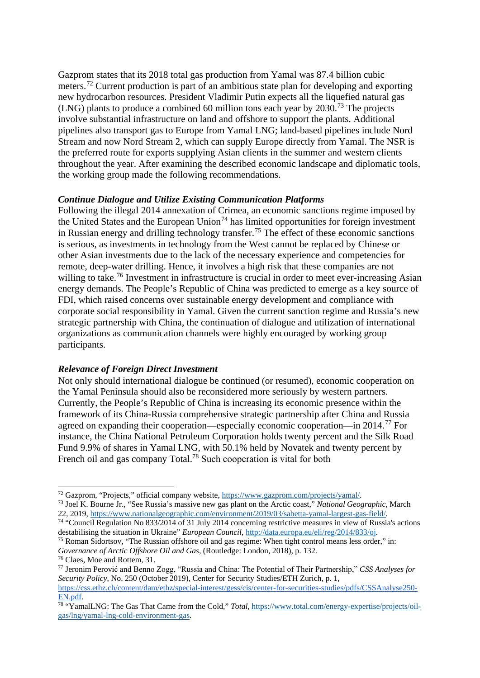<span id="page-12-6"></span><span id="page-12-5"></span><span id="page-12-4"></span><span id="page-12-3"></span><span id="page-12-2"></span><span id="page-12-1"></span><span id="page-12-0"></span>Gazprom states that its 2018 total gas production from Yamal was 87.4 billion cubic meters.[72](#page-12-0) Current production is part of an ambitious state plan for developing and exporting new hydrocarbon resources. President Vladimir Putin expects all the liquefied natural gas (LNG) plants to produce a combined 60 million tons each year by 2030.[73](#page-12-1) The projects involve substantial infrastructure on land and offshore to support the plants. Additional pipelines also transport gas to Europe from Yamal LNG; land-based pipelines include Nord Stream and now Nord Stream 2, which can supply Europe directly from Yamal. The NSR is the preferred route for exports supplying Asian clients in the summer and western clients throughout the year. After examining the described economic landscape and diplomatic tools, the working group made the following recommendations.

#### *Continue Dialogue and Utilize Existing Communication Platforms*

Following the illegal 2014 annexation of Crimea, an economic sanctions regime imposed by the United States and the European Union<sup>[74](#page-12-2)</sup> has limited opportunities for foreign investment in Russian energy and drilling technology transfer.[75](#page-12-3) The effect of these economic sanctions is serious, as investments in technology from the West cannot be replaced by Chinese or other Asian investments due to the lack of the necessary experience and competencies for remote, deep-water drilling. Hence, it involves a high risk that these companies are not willing to take.<sup>[76](#page-12-4)</sup> Investment in infrastructure is crucial in order to meet ever-increasing Asian energy demands. The People's Republic of China was predicted to emerge as a key source of FDI, which raised concerns over sustainable energy development and compliance with corporate social responsibility in Yamal. Given the current sanction regime and Russia's new strategic partnership with China, the continuation of dialogue and utilization of international organizations as communication channels were highly encouraged by working group participants.

# *Relevance of Foreign Direct Investment*

Not only should international dialogue be continued (or resumed), economic cooperation on the Yamal Peninsula should also be reconsidered more seriously by western partners. Currently, the People's Republic of China is increasing its economic presence within the framework of its China-Russia comprehensive strategic partnership after China and Russia agreed on expanding their cooperation—especially economic cooperation—in 2014.[77](#page-12-5) For instance, the China National Petroleum Corporation holds twenty percent and the Silk Road Fund 9.9% of shares in Yamal LNG, with 50.1% held by Novatek and twenty percent by French oil and gas company Total.<sup>[78](#page-12-6)</sup> Such cooperation is vital for both

<sup>72</sup> Gazprom, "Projects," official company website, [https://www.gazprom.com/projects/yamal/.](https://www.gazprom.com/projects/yamal/) 73 Joel K. Bourne Jr., "See Russia's massive new gas plant on the Arctic coast," *National Geographic*, March 22, 2019, [https://www.nationalgeographic.com/environment/2019/03/sabetta-yamal-largest-gas-field/.](https://www.nationalgeographic.com/environment/2019/03/sabetta-yamal-largest-gas-field/) 74 "Council Regulation No 833/2014 of 31 July 2014 concerning restrictive measures in view of Russia's actions

destabilising the situation in Ukraine" *European Council*, <u>http://data.europa.eu/eli/reg/2014/833/oj</u>.<br><sup>75</sup> Roman Sidortsov, "The Russian offshore oil and gas regime: When tight control means less order," in:

*Governance of Arctic Offshore Oil and Gas*, (Routledge: London, 2018), p. 132.

<sup>76</sup> Claes, Moe and Rottem, 31. 77 Jeronim Perović and Benno Zogg, "Russia and China: The Potential of Their Partnership," *[CSS Analyses for](https://css.ethz.ch/content/dam/ethz/special-interest/gess/cis/center-for-securities-studies/pdfs/CSSAnalyse250-EN.pdf)  Security Policy*, No. 250 (October 2019), Center for Security Studies/ETH Zurich, p. 1, [https://css.ethz.ch/content/dam/ethz/special-interest/gess/cis/center-for-securities-studies/pdfs/CSSAnalyse250-](https://css.ethz.ch/content/dam/ethz/special-interest/gess/cis/center-for-securities-studies/pdfs/CSSAnalyse250-EN.pdf)

<sup>&</sup>lt;sup>78</sup> "YamalLNG: The Gas That Came from the Cold," *Total*, [https://www.total.com/energy-expertise/projects/oil](https://www.total.com/energy-expertise/projects/oil-gas/lng/yamal-lng-cold-environment-gas)[gas/lng/yamal-lng-cold-environment-gas.](https://www.total.com/energy-expertise/projects/oil-gas/lng/yamal-lng-cold-environment-gas)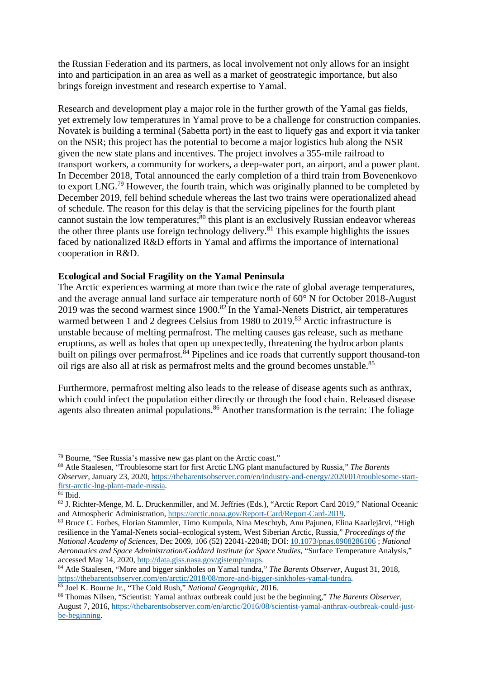<span id="page-13-6"></span><span id="page-13-5"></span><span id="page-13-4"></span><span id="page-13-3"></span><span id="page-13-2"></span><span id="page-13-1"></span><span id="page-13-0"></span>the Russian Federation and its partners, as local involvement not only allows for an insight into and participation in an area as well as a market of geostrategic importance, but also brings foreign investment and research expertise to Yamal.

Research and development play a major role in the further growth of the Yamal gas fields, yet extremely low temperatures in Yamal prove to be a challenge for construction companies. Novatek is building a terminal (Sabetta port) in the east to liquefy gas and export it via tanker on the NSR; this project has the potential to become a major logistics hub along the NSR given the new state plans and incentives. The project involves a 355-mile railroad to transport workers, a community for workers, a deep-water port, an airport, and a power plant. In December 2018, Total announced the early completion of a third train from Bovenenkovo to export LNG.<sup>79</sup> However, the fourth train, which was originally planned to be completed by December 2[01](#page-13-0)9, fell behind schedule whereas the last two trains were operationalized ahead of schedule. The reason for this delay is that the servicing pipelines for the fourth plant cannot sustain the low temperatures; $\frac{80}{10}$  this plant is an exclusively Russian endeavor whereas the other three plants use foreign tec[hn](#page-13-1)ology delivery.<sup>81</sup> This example highlights the issues faced by nationalized R&D efforts in Yamal and affir[ms](#page-13-2) the importance of international cooperation in R&D.

#### **Ecological and Social Fragility on the Yamal Peninsula**

The Arctic experiences warming at more than twice the rate of global average temperatures, and the average annual land surface air temperature north of 60° N for October 2018-August 2019 was the second warmest since  $1900$ .<sup>82</sup> In the Yamal-Nenets District, air temperatures warmed between 1 and 2 degrees Celsius [fro](#page-13-3)m 1980 to 2019.<sup>83</sup> Arctic infrastructure is unstable because of melting permafrost. The melting causes [ga](#page-13-4)s release, such as methane eruptions, as well as holes that open up unexpectedly, threatening the hydrocarbon plants built on pilings over permafrost.<sup>84</sup> Pipelines and ice roads that currently support thousand-ton oil rigs are also all at risk as per[ma](#page-13-5)frostmelts and the ground becomes unstable.<sup>85</sup>

Furthermore, permafrost melting also leads to the release of disease agents such as anthrax, which could infect the population either directly or through the food chain. Released disease agents also threaten animal populations.<sup>86</sup> Another transformation is the terrain: The foliage

<sup>80</sup> Atle Staalesen, "Troublesome start for first Arctic LNG plant manufactured by Russia," *The Barents Observer*, January 23, 2020, [https://thebarentsobserver.com/en/industry-and-energy/2020/01/troublesome-start](https://thebarentsobserver.com/en/industry-and-energy/2020/01/troublesome-start-first-arctic-lng-plant-made-russia)[first-arctic-lng-plant-made-russia.](https://thebarentsobserver.com/en/industry-and-energy/2020/01/troublesome-start-first-arctic-lng-plant-made-russia) 81 Ibid.

<sup>79</sup> Bourne, "See Russia's massive new gas plant on the Arctic coast."

<sup>&</sup>lt;sup>82</sup> J. Richter-Menge, M. L. Druckenmiller, and M. Jeffries (Eds.), "Arctic Report Card 2019," National Oceanic and Atmospheric Administration[, https://arctic.noaa.gov/Report-Card/Report-Card-2019.](https://arctic.noaa.gov/Report-Card/Report-Card-2019) 83 Bruce C. Forbes, Florian Stammler, Timo Kumpula, Nina Meschtyb, Anu Pajunen, Elina Kaarlejärvi, "High

resilience in the Yamal-Nenets social–ecological system, West Siberian Arctic, Russia," *Proceedings of the National Academy of Sciences*, Dec 2009, 106 (52) 22041-22048; DOI: [10.1073/pnas.0908286106](file://GCMCNETAPP004/Group/CISS/Pubs%20&%20Evals/1%20-%20Publications/Marshall%20Center%20Security%20Insights/10.1073/pnas.0908286106) ; *National Aeronautics and Space Administration/Goddard Institute for Space Studies*, "Surface Temperature Analysis,"

accessed May 14, 2020, [http://data.giss.nasa.gov/gistemp/maps.](http://data.giss.nasa.gov/gistemp/maps)<br><sup>84</sup> Atle Staalesen, "More and bigger sinkholes on Yamal tundra," *The Barents Observer*, August 31, 2018, https://thebarentsobserver.com/en/arctic/2018/08/mor

<sup>&</sup>lt;sup>85</sup> Joel K. Bourne Jr., "The Cold Rush," *National Geographic*, 2016.<br><sup>86</sup> Thomas Nilsen, "Scientist: Yamal anthrax outbreak could just be the beginning," *The Barents Observer*, August 7, 2016, [https://thebarentsobserver.com/en/arctic/2016/08/scientist-yamal-anthrax-outbreak-could-just](https://thebarentsobserver.com/en/arctic/2016/08/scientist-yamal-anthrax-outbreak-could-just-be-beginning)[be-beginning.](https://thebarentsobserver.com/en/arctic/2016/08/scientist-yamal-anthrax-outbreak-could-just-be-beginning)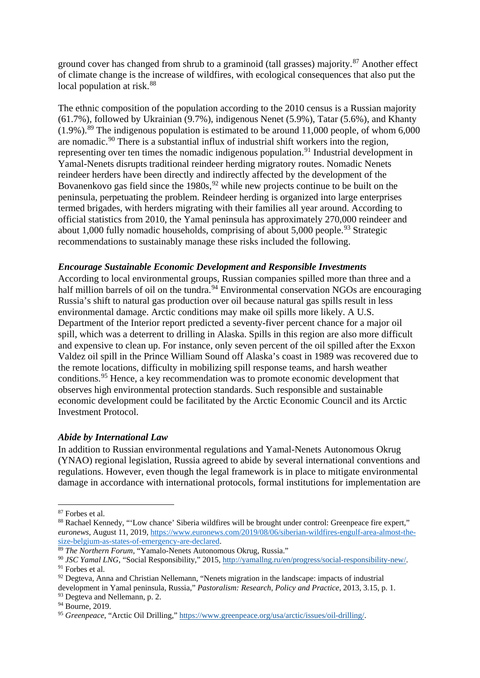<span id="page-14-8"></span><span id="page-14-7"></span><span id="page-14-6"></span><span id="page-14-5"></span><span id="page-14-4"></span><span id="page-14-3"></span><span id="page-14-2"></span><span id="page-14-1"></span><span id="page-14-0"></span>ground cover has changed from shrub to a graminoid (tall grasses) majority.<sup>[87](#page-14-0)</sup> Another effect of climate change is the increase of wildfires, with ecological consequences that also put the local population at risk.<sup>[88](#page-14-1)</sup>

The ethnic composition of the population according to the 2010 census is a Russian majority (61.7%), followed by Ukrainian (9.7%), indigenous Nenet (5.9%), Tatar (5.6%), and Khanty  $(1.9\%)$ .<sup>[89](#page-14-2)</sup> The indigenous population is estimated to be around 11,000 people, of whom 6,000 are nomadic.[90](#page-14-3) There is a substantial influx of industrial shift workers into the region, representing over ten times the nomadic indigenous population.<sup>[91](#page-14-4)</sup> Industrial development in Yamal-Nenets disrupts traditional reindeer herding migratory routes. Nomadic Nenets reindeer herders have been directly and indirectly affected by the development of the Bovanenkovo gas field since the  $1980s<sup>92</sup>$  $1980s<sup>92</sup>$  $1980s<sup>92</sup>$  while new projects continue to be built on the peninsula, perpetuating the problem. Reindeer herding is organized into large enterprises termed brigades, with herders migrating with their families all year around. According to official statistics from 2010, the Yamal peninsula has approximately 270,000 reindeer and about 1,000 fully nomadic households, comprising of about  $5,000$  people.<sup>[93](#page-14-6)</sup> Strategic recommendations to sustainably manage these risks included the following.

#### *Encourage Sustainable Economic Development and Responsible Investments*

According to local environmental groups, Russian companies spilled more than three and a half million barrels of oil on the tundra.<sup>[94](#page-14-7)</sup> Environmental conservation NGOs are encouraging Russia's shift to natural gas production over oil because natural gas spills result in less environmental damage. Arctic conditions may make oil spills more likely. A U.S. Department of the Interior report predicted a seventy-fiver percent chance for a major oil spill, which was a deterrent to drilling in Alaska. Spills in this region are also more difficult and expensive to clean up. For instance, only seven percent of the oil spilled after the Exxon Valdez oil spill in the Prince William Sound off Alaska's coast in 1989 was recovered due to the remote locations, difficulty in mobilizing spill response teams, and harsh weather conditions.[95](#page-14-8) Hence, a key recommendation was to promote economic development that observes high environmental protection standards. Such responsible and sustainable economic development could be facilitated by the Arctic Economic Council and its Arctic Investment Protocol.

#### *Abide by International Law*

In addition to Russian environmental regulations and Yamal-Nenets Autonomous Okrug (YNAO) regional legislation, Russia agreed to abide by several international conventions and regulations. However, even though the legal framework is in place to mitigate environmental damage in accordance with international protocols, formal institutions for implementation are

<u>.</u>

 $87$  Forbes et al.<br> $88$  Rachael Kennedy, "'Low chance' Siberia wildfires will be brought under control: Greenpeace fire expert," *euronews*, August 11, 2019, https://www.euronews.com/2019/08/06/siberian-wildfires-engulf-area-almost-the-<br>size-belgium-as-states-of-emergency-are-declared.

<sup>&</sup>lt;sup>89</sup> The Northern Forum, "Yamalo-Nenets Autonomous Okrug, Russia."

<sup>&</sup>lt;sup>90</sup> *JSC Yamal LNG*, "Social Responsibility," 2015, [http://yamallng.ru/en/progress/social-responsibility-new/.](http://yamallng.ru/en/progress/social-responsibility-new/)<br><sup>91</sup> Forbes et al.

 $92$  Degteva, Anna and Christian Nellemann, "Nenets migration in the landscape: impacts of industrial

development in Yamal peninsula, Russia," *Pastoralism: Research, Policy and Practice*, 2013, 3.15, p. 1. <sup>93</sup> Degteva and Nellemann, p. 2.

<sup>&</sup>lt;sup>94</sup> Bourne, 2019.

<sup>95</sup> *Greenpeace*, "Arctic Oil Drilling,[" https://www.greenpeace.org/usa/arctic/issues/oil-drilling/.](https://www.greenpeace.org/usa/arctic/issues/oil-drilling/)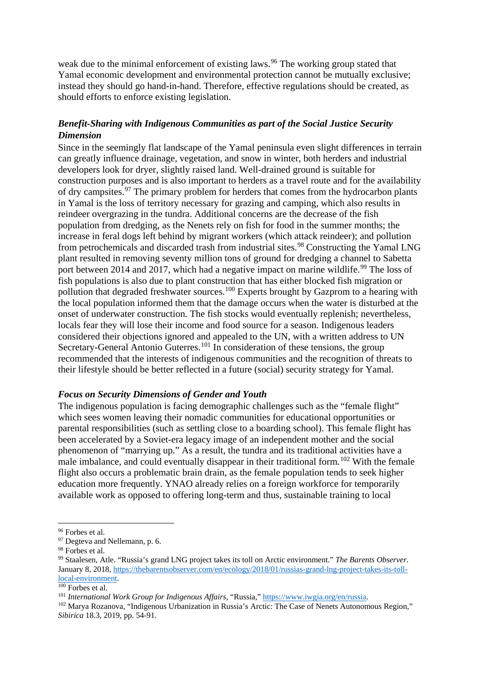<span id="page-15-6"></span><span id="page-15-5"></span><span id="page-15-4"></span><span id="page-15-3"></span><span id="page-15-2"></span><span id="page-15-1"></span><span id="page-15-0"></span>weak due to the minimal enforcement of existing laws.<sup>[96](#page-15-0)</sup> The working group stated that Yamal economic development and environmental protection cannot be mutually exclusive; instead they should go hand-in-hand. Therefore, effective regulations should be created, as should efforts to enforce existing legislation.

# *Benefit-Sharing with Indigenous Communities as part of the Social Justice Security Dimension*

Since in the seemingly flat landscape of the Yamal peninsula even slight differences in terrain can greatly influence drainage, vegetation, and snow in winter, both herders and industrial developers look for dryer, slightly raised land. Well-drained ground is suitable for construction purposes and is also important to herders as a travel route and for the availability of dry campsites.<sup>[97](#page-15-1)</sup> The primary problem for herders that comes from the hydrocarbon plants in Yamal is the loss of territory necessary for grazing and camping, which also results in reindeer overgrazing in the tundra. Additional concerns are the decrease of the fish population from dredging, as the Nenets rely on fish for food in the summer months; the increase in feral dogs left behind by migrant workers (which attack reindeer); and pollution from petrochemicals and discarded trash from industrial sites.<sup>[98](#page-15-2)</sup> Constructing the Yamal LNG plant resulted in removing seventy million tons of ground for dredging a channel to Sabetta port between 2014 and 2017, which had a negative impact on marine wildlife.<sup>[99](#page-15-3)</sup> The loss of fish populations is also due to plant construction that has either blocked fish migration or pollution that degraded freshwater sources.<sup>[100](#page-15-4)</sup> Experts brought by Gazprom to a hearing with the local population informed them that the damage occurs when the water is disturbed at the onset of underwater construction. The fish stocks would eventually replenish; nevertheless, locals fear they will lose their income and food source for a season. Indigenous leaders considered their objections ignored and appealed to the UN, with a written address to UN Secretary-General Antonio Guterres.<sup>[101](#page-15-5)</sup> In consideration of these tensions, the group recommended that the interests of indigenous communities and the recognition of threats to their lifestyle should be better reflected in a future (social) security strategy for Yamal.

#### *Focus on Security Dimensions of Gender and Youth*

The indigenous population is facing demographic challenges such as the "female flight" which sees women leaving their nomadic communities for educational opportunities or parental responsibilities (such as settling close to a boarding school). This female flight has been accelerated by a Soviet-era legacy image of an independent mother and the social phenomenon of "marrying up." As a result, the tundra and its traditional activities have a male imbalance, and could eventually disappear in their traditional form.<sup>[102](#page-15-6)</sup> With the female flight also occurs a problematic brain drain, as the female population tends to seek higher education more frequently. YNAO already relies on a foreign workforce for temporarily available work as opposed to offering long-term and thus, sustainable training to local

 $\overline{a}$ 

<sup>&</sup>lt;sup>96</sup> Forbes et al.<br><sup>97</sup> Degteva and Nellemann, p. 6.<br><sup>98</sup> Forbes et al.<br><sup>99</sup> Staalesen, Atle. "Russia's grand LNG project takes its toll on Arctic environment." *The Barents Observer.* January 8, 2018[, https://thebarentsobserver.com/en/ecology/2018/01/russias-grand-lng-project-takes-its-toll](https://thebarentsobserver.com/en/ecology/2018/01/russias-grand-lng-project-takes-its-toll-local-environment)local-environment.<br><sup>100</sup> Forbes et al.

<sup>101</sup> *International Work Group for Indigenous Affairs*, "Russia," [https://www.iwgia.org/en/russia.](https://www.iwgia.org/en/russia)

<sup>102</sup> Marya Rozanova, "Indigenous Urbanization in Russia's Arctic: The Case of Nenets Autonomous Region," *Sibirica* 18.3, 2019, pp. 54-91.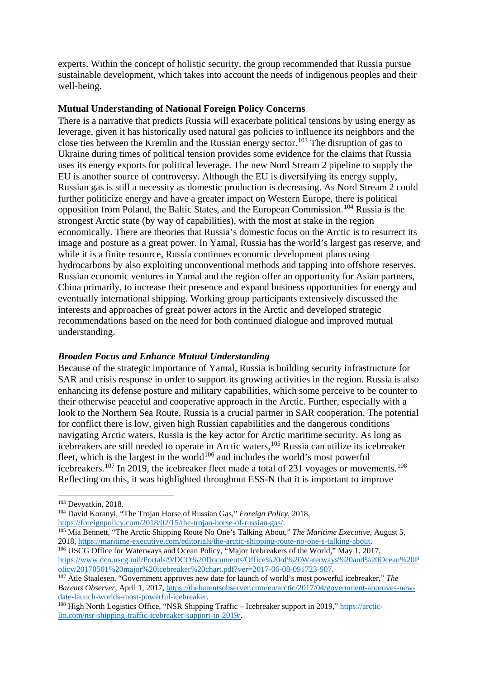<span id="page-16-5"></span><span id="page-16-4"></span><span id="page-16-3"></span><span id="page-16-2"></span><span id="page-16-1"></span><span id="page-16-0"></span>experts. Within the concept of holistic security, the group recommended that Russia pursue sustainable development, which takes into account the needs of indigenous peoples and their well-being.

#### **Mutual Understanding of National Foreign Policy Concerns**

There is a narrative that predicts Russia will exacerbate political tensions by using energy as leverage, given it has historically used natural gas policies to influence its neighbors and the close ties between the Kremlin and the Russian energy sector.<sup>[103](#page-16-0)</sup> The disruption of gas to Ukraine during times of political tension provides some evidence for the claims that Russia uses its energy exports for political leverage. The new Nord Stream 2 pipeline to supply the EU is another source of controversy. Although the EU is diversifying its energy supply, Russian gas is still a necessity as domestic production is decreasing. As Nord Stream 2 could further politicize energy and have a greater impact on Western Europe, there is political opposition from Poland, the Baltic States, and the European Commission.[104](#page-16-1) Russia is the strongest Arctic state (by way of capabilities), with the most at stake in the region economically. There are theories that Russia's domestic focus on the Arctic is to resurrect its image and posture as a great power. In Yamal, Russia has the world's largest gas reserve, and while it is a finite resource, Russia continues economic development plans using hydrocarbons by also exploiting unconventional methods and tapping into offshore reserves. Russian economic ventures in Yamal and the region offer an opportunity for Asian partners, China primarily, to increase their presence and expand business opportunities for energy and eventually international shipping. Working group participants extensively discussed the interests and approaches of great power actors in the Arctic and developed strategic recommendations based on the need for both continued dialogue and improved mutual understanding.

#### *Broaden Focus and Enhance Mutual Understanding*

Because of the strategic importance of Yamal, Russia is building security infrastructure for SAR and crisis response in order to support its growing activities in the region. Russia is also enhancing its defense posture and military capabilities, which some perceive to be counter to their otherwise peaceful and cooperative approach in the Arctic. Further, especially with a look to the Northern Sea Route, Russia is a crucial partner in SAR cooperation. The potential for conflict there is low, given high Russian capabilities and the dangerous conditions navigating Arctic waters. Russia is the key actor for Arctic maritime security. As long as icebreakers are still needed to operate in Arctic waters,[105](#page-16-2) Russia can utilize its icebreaker fleet, which is the largest in the world<sup>[106](#page-16-3)</sup> and includes the world's most powerful icebreakers.<sup>[107](#page-16-4)</sup> In 2019, the icebreaker fleet made a total of 231 voyages or movements.<sup>[108](#page-16-5)</sup> Reflecting on this, it was highlighted throughout ESS-N that it is important to improve

 $\overline{a}$ 

<sup>103</sup> Devyatkin, 2018. 104 David Koranyi, "The Trojan Horse of Russian Gas," *Foreign Policy*, 2018,

[https://foreignpolicy.com/2018/02/15/the-trojan-horse-of-russian-gas/.](https://foreignpolicy.com/2018/02/15/the-trojan-horse-of-russian-gas/)

<sup>&</sup>lt;sup>105</sup> Mia Bennett, "The Arctic Shipping Route No One's Talking About," *The Maritime Executive*, August 5, 2018, https://maritime-executive.com/editorials/the-arctic-shipping-route-no-one-s-talking-about.

<sup>&</sup>lt;sup>106</sup> USCG Office for Waterways and Ocean Policy, "Major Icebreakers of the World," May 1, 2017, [https://www.dco.uscg.mil/Portals/9/DCO%20Documents/Office%20of%20Waterways%20and%20Ocean%20P](https://www.dco.uscg.mil/Portals/9/DCO%20Documents/Office%20of%20Waterways%20and%20Ocean%20Policy/20170501%20major%20icebreaker%20chart.pdf?ver=2017-06-08-091723-907)<br>olicy/20170501%20major%20icebreaker%20chart.pdf?ver=2017-06-08-091723-907.

<sup>&</sup>lt;sup>107</sup> Atle Staalesen, "Government approves new date for launch of world's most powerful icebreaker," *The Barents Observer*, April 1, 2017, https://thebarentsobserver.com/en/arctic/2017/04/government-approves-new-<br>date-launch-worlds-most-powerful-icebreaker.

 $^{108}$  High North Logistics Office, "NSR Shipping Traffic – Icebreaker support in 2019," [https://arctic](https://arctic-lio.com/nsr-shipping-traffic-icebreaker-support-in-2019/)[lio.com/nsr-shipping-traffic-icebreaker-support-in-2019/.](https://arctic-lio.com/nsr-shipping-traffic-icebreaker-support-in-2019/)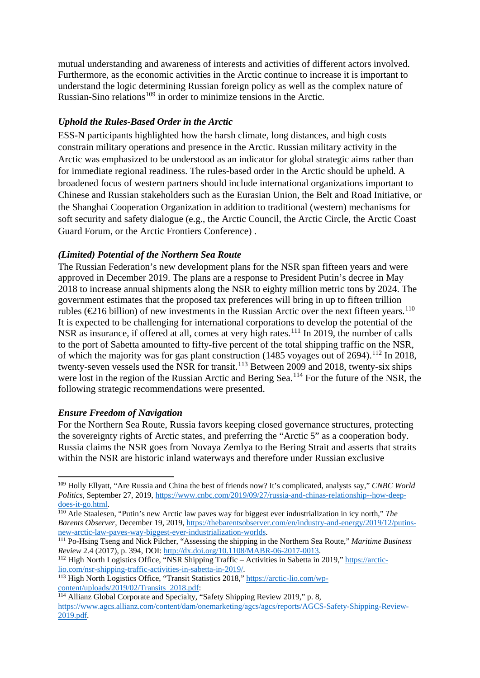<span id="page-17-5"></span><span id="page-17-4"></span><span id="page-17-3"></span><span id="page-17-2"></span><span id="page-17-1"></span><span id="page-17-0"></span>mutual understanding and awareness of interests and activities of different actors involved. Furthermore, as the economic activities in the Arctic continue to increase it is important to understand the logic determining Russian foreign policy as well as the complex nature of Russian-Sino relations<sup>[109](#page-17-0)</sup> in order to minimize tensions in the Arctic.

# *Uphold the Rules-Based Order in the Arctic*

ESS-N participants highlighted how the harsh climate, long distances, and high costs constrain military operations and presence in the Arctic. Russian military activity in the Arctic was emphasized to be understood as an indicator for global strategic aims rather than for immediate regional readiness. The rules-based order in the Arctic should be upheld. A broadened focus of western partners should include international organizations important to Chinese and Russian stakeholders such as the Eurasian Union, the Belt and Road Initiative, or the Shanghai Cooperation Organization in addition to traditional (western) mechanisms for soft security and safety dialogue (e.g., the Arctic Council, the Arctic Circle, the Arctic Coast Guard Forum, or the Arctic Frontiers Conference) .

#### *(Limited) Potential of the Northern Sea Route*

The Russian Federation's new development plans for the NSR span fifteen years and were approved in December 2019. The plans are a response to President Putin's decree in May 2018 to increase annual shipments along the NSR to eighty million metric tons by 2024. The government estimates that the proposed tax preferences will bring in up to fifteen trillion rubles ( $\epsilon$ 216 billion) of new investments in the Russian Arctic over the next fifteen years.<sup>[110](#page-17-1)</sup> It is expected to be challenging for international corporations to develop the potential of the NSR as insurance, if offered at all, comes at very high rates.<sup>[111](#page-17-2)</sup> In 2019, the number of calls to the port of Sabetta amounted to fifty-five percent of the total shipping traffic on the NSR, of which the majority was for gas plant construction (1485 voyages out of 2694).<sup>[112](#page-17-3)</sup> In 2018, twenty-seven vessels used the NSR for transit.<sup>[113](#page-17-4)</sup> Between 2009 and 2018, twenty-six ships were lost in the region of the Russian Arctic and Bering Sea.<sup>[114](#page-17-5)</sup> For the future of the NSR, the following strategic recommendations were presented.

#### *Ensure Freedom of Navigation*

**.** 

For the Northern Sea Route, Russia favors keeping closed governance structures, protecting the sovereignty rights of Arctic states, and preferring the "Arctic 5" as a cooperation body. Russia claims the NSR goes from Novaya Zemlya to the Bering Strait and asserts that straits within the NSR are historic inland waterways and therefore under Russian exclusive

[lio.com/nsr-shipping-traffic-activities-in-sabetta-in-2019/.](https://arctic-lio.com/nsr-shipping-traffic-activities-in-sabetta-in-2019/)

<sup>109</sup> Holly Ellyatt, "Are Russia and China the best of friends now? It's complicated, analysts say," *CNBC World Politics*, September 27, 2019, https://www.cnbc.com/2019/09/27/russia-and-chinas-relationship--how-deep-<br>does-it-go.html.

<sup>&</sup>lt;sup>110</sup> Atle Staalesen, "Putin's new Arctic law paves way for biggest ever industrialization in icy north," *The Barents Observer*, December 19, 2019, [https://thebarentsobserver.com/en/industry-and-energy/2019/12/putins](https://thebarentsobserver.com/en/industry-and-energy/2019/12/putins-new-arctic-law-paves-way-biggest-ever-industrialization-worlds)[new-arctic-law-paves-way-biggest-ever-industrialization-worlds.](https://thebarentsobserver.com/en/industry-and-energy/2019/12/putins-new-arctic-law-paves-way-biggest-ever-industrialization-worlds)

<sup>&</sup>lt;sup>111</sup> Po-Hsing Tseng and Nick Pilcher, "Assessing the shipping in the Northern Sea Route," *Maritime Business Review* 2.4 (2017), p. 394, DOI: http://dx.doi.org/10.1108/MABR-06-2017-0013. *Review* 2.4 (2017), p. 394, DOI: <u>http://dx.doi.org/10.1108/MABR-06-2017-0013</u>.<br><sup>112</sup> High North Logistics Office, "NSR Shipping Traffic – Activities in Sabetta in 2019," <u>https://arctic-</u>

<sup>113</sup> High North Logistics Office, "Transit Statistics 2018,[" https://arctic-lio.com/wp](https://arctic-lio.com/wp-content/uploads/2019/02/Transits_2018.pdf)[content/uploads/2019/02/Transits\\_2018.pdf:](https://arctic-lio.com/wp-content/uploads/2019/02/Transits_2018.pdf)<br><sup>114</sup> Allianz Global Corporate and Specialty, "Safety Shipping Review 2019," p. 8,

[https://www.agcs.allianz.com/content/dam/onemarketing/agcs/agcs/reports/AGCS-Safety-Shipping-Review-](https://www.agcs.allianz.com/content/dam/onemarketing/agcs/agcs/reports/AGCS-Safety-Shipping-Review-2019.pdf)[2019.pdf.](https://www.agcs.allianz.com/content/dam/onemarketing/agcs/agcs/reports/AGCS-Safety-Shipping-Review-2019.pdf)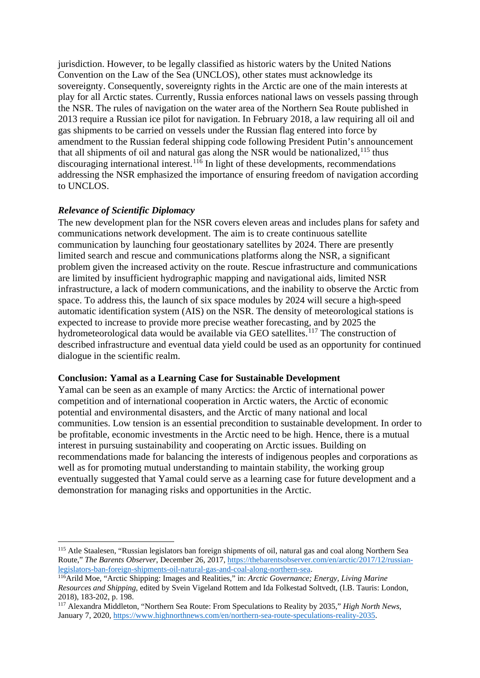<span id="page-18-2"></span><span id="page-18-1"></span><span id="page-18-0"></span>jurisdiction. However, to be legally classified as historic waters by the United Nations Convention on the Law of the Sea (UNCLOS), other states must acknowledge its sovereignty. Consequently, sovereignty rights in the Arctic are one of the main interests at play for all Arctic states. Currently, Russia enforces national laws on vessels passing through the NSR. The rules of navigation on the water area of the Northern Sea Route published in 2013 require a Russian ice pilot for navigation. In February 2018, a law requiring all oil and gas shipments to be carried on vessels under the Russian flag entered into force by amendment to the Russian federal shipping code following President Putin's announcement that all shipments of oil and natural gas along the NSR would be nationalized,  $^{115}$  $^{115}$  $^{115}$  thus discouraging international interest.  $1^{16}$  In light of these developments, recommendations addressing the NSR emphasized the importance of ensuring freedom of navigation according to UNCLOS.

### *Relevance of Scientific Diplomacy*

**.** 

The new development plan for the NSR covers eleven areas and includes plans for safety and communications network development. The aim is to create continuous satellite communication by launching four geostationary satellites by 2024. There are presently limited search and rescue and communications platforms along the NSR, a significant problem given the increased activity on the route. Rescue infrastructure and communications are limited by insufficient hydrographic mapping and navigational aids, limited NSR infrastructure, a lack of modern communications, and the inability to observe the Arctic from space. To address this, the launch of six space modules by 2024 will secure a high-speed automatic identification system (AIS) on the NSR. The density of meteorological stations is expected to increase to provide more precise weather forecasting, and by 2025 the hydrometeorological data would be available via GEO satellites.<sup>[117](#page-18-2)</sup> The construction of described infrastructure and eventual data yield could be used as an opportunity for continued dialogue in the scientific realm.

#### **Conclusion: Yamal as a Learning Case for Sustainable Development**

Yamal can be seen as an example of many Arctics: the Arctic of international power competition and of international cooperation in Arctic waters, the Arctic of economic potential and environmental disasters, and the Arctic of many national and local communities. Low tension is an essential precondition to sustainable development. In order to be profitable, economic investments in the Arctic need to be high. Hence, there is a mutual interest in pursuing sustainability and cooperating on Arctic issues. Building on recommendations made for balancing the interests of indigenous peoples and corporations as well as for promoting mutual understanding to maintain stability, the working group eventually suggested that Yamal could serve as a learning case for future development and a demonstration for managing risks and opportunities in the Arctic.

<sup>115</sup> Atle Staalesen, "Russian legislators ban foreign shipments of oil, natural gas and coal along Northern Sea Route," *The Barents Observer*, December 26, 2017, https://thebarentsobserver.com/en/arctic/2017/12/russian-<br>legislators-ban-foreign-shipments-oil-natural-gas-and-coal-along-northern-sea.

<sup>&</sup>lt;sup>116</sup>Arild Moe, "Arctic Shipping: Images and Realities," in: *Arctic Governance; Energy, Living Marine Resources and Shipping*, edited by Svein Vigeland Rottem and Ida Folkestad Soltvedt, (I.B. Tauris: London, 2018), 183-202, p. 198.

<sup>117</sup> Alexandra Middleton, "Northern Sea Route: From Speculations to Reality by 2035," *High North News*, January 7, 2020[, https://www.highnorthnews.com/en/northern-sea-route-speculations-reality-2035.](https://www.highnorthnews.com/en/northern-sea-route-speculations-reality-2035)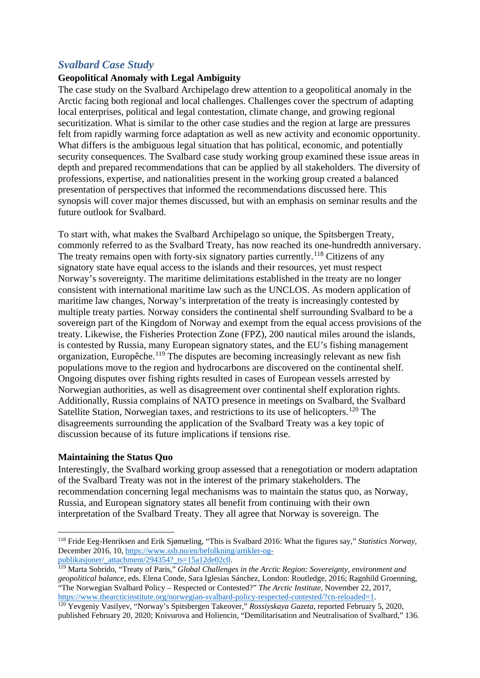# <span id="page-19-2"></span><span id="page-19-1"></span><span id="page-19-0"></span>*Svalbard Case Study*

## **Geopolitical Anomaly with Legal Ambiguity**

The case study on the Svalbard Archipelago drew attention to a geopolitical anomaly in the Arctic facing both regional and local challenges. Challenges cover the spectrum of adapting local enterprises, political and legal contestation, climate change, and growing regional securitization. What is similar to the other case studies and the region at large are pressures felt from rapidly warming force adaptation as well as new activity and economic opportunity. What differs is the ambiguous legal situation that has political, economic, and potentially security consequences. The Svalbard case study working group examined these issue areas in depth and prepared recommendations that can be applied by all stakeholders. The diversity of professions, expertise, and nationalities present in the working group created a balanced presentation of perspectives that informed the recommendations discussed here. This synopsis will cover major themes discussed, but with an emphasis on seminar results and the future outlook for Svalbard.

To start with, what makes the Svalbard Archipelago so unique, the Spitsbergen Treaty, commonly referred to as the Svalbard Treaty, has now reached its one-hundredth anniversary. The treaty remains open with forty-six signatory parties currently.<sup>[118](#page-19-0)</sup> Citizens of any signatory state have equal access to the islands and their resources, yet must respect Norway's sovereignty. The maritime delimitations established in the treaty are no longer consistent with international maritime law such as the UNCLOS. As modern application of maritime law changes, Norway's interpretation of the treaty is increasingly contested by multiple treaty parties. Norway considers the continental shelf surrounding Svalbard to be a sovereign part of the Kingdom of Norway and exempt from the equal access provisions of the treaty. Likewise, the Fisheries Protection Zone (FPZ), 200 nautical miles around the islands, is contested by Russia, many European signatory states, and the EU's fishing management organization, Europêche.<sup>[119](#page-19-1)</sup> The disputes are becoming increasingly relevant as new fish populations move to the region and hydrocarbons are discovered on the continental shelf. Ongoing disputes over fishing rights resulted in cases of European vessels arrested by Norwegian authorities, as well as disagreement over continental shelf exploration rights. Additionally, Russia complains of NATO presence in meetings on Svalbard, the Svalbard Satellite Station, Norwegian taxes, and restrictions to its use of helicopters.<sup>[120](#page-19-2)</sup> The disagreements surrounding the application of the Svalbard Treaty was a key topic of discussion because of its future implications if tensions rise.

#### **Maintaining the Status Quo**

<u>.</u>

Interestingly, the Svalbard working group assessed that a renegotiation or modern adaptation of the Svalbard Treaty was not in the interest of the primary stakeholders. The recommendation concerning legal mechanisms was to maintain the status quo, as Norway, Russia, and European signatory states all benefit from continuing with their own interpretation of the Svalbard Treaty. They all agree that Norway is sovereign. The

<sup>118</sup> Fride Eeg-Henriksen and Erik Sjømæling, "This is Svalbard 2016: What the figures say," *Statistics Norway*, December 2016, 10, [https://www.ssb.no/en/befolkning/artikler-og](https://www.ssb.no/en/befolkning/artikler-og-publikasjoner/_attachment/294354?_ts=15a12de02c0)[publikasjoner/\\_attachment/294354?\\_ts=15a12de02c0.](https://www.ssb.no/en/befolkning/artikler-og-publikasjoner/_attachment/294354?_ts=15a12de02c0)

<sup>119</sup> Marta Sobrido, "Treaty of Paris," *Global Challenges in the Arctic Region: Sovereignty, environment and geopolitical balance,* eds. Elena Conde, Sara Iglesias Sánchez, London: Routledge, 2016; Ragnhild Groenning, "The Norwegian Svalbard Policy – Respected or Contested?" *The Arctic Institute*, November 22, 2017, [https://www.thearcticinstitute.org/norwegian-svalbard-policy-respected-contested/?cn-reloaded=1.](https://www.thearcticinstitute.org/norwegian-svalbard-policy-respected-contested/?cn-reloaded=1)

<sup>120</sup> Yevgeniy Vasilyev, "Norway's Spitsbergen Takeover," *Rossiyskaya Gazeta*, reported February 5, 2020, published February 20, 2020; Koivurova and Holiencin, "Demilitarisation and Neutralisation of Svalbard," 136.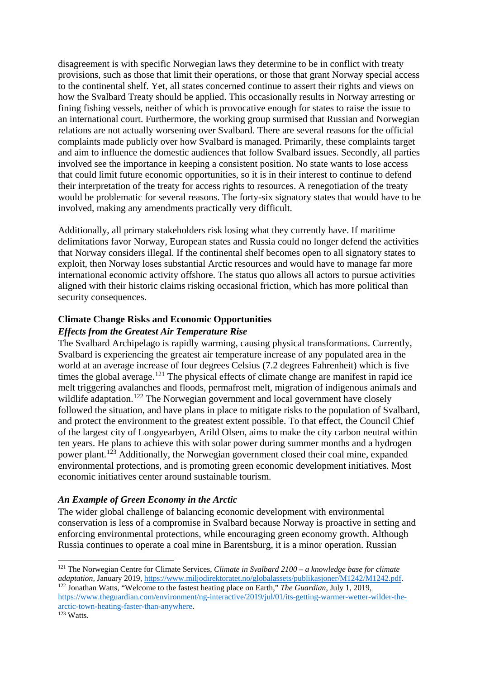<span id="page-20-2"></span><span id="page-20-1"></span><span id="page-20-0"></span>disagreement is with specific Norwegian laws they determine to be in conflict with treaty provisions, such as those that limit their operations, or those that grant Norway special access to the continental shelf. Yet, all states concerned continue to assert their rights and views on how the Svalbard Treaty should be applied. This occasionally results in Norway arresting or fining fishing vessels, neither of which is provocative enough for states to raise the issue to an international court. Furthermore, the working group surmised that Russian and Norwegian relations are not actually worsening over Svalbard. There are several reasons for the official complaints made publicly over how Svalbard is managed. Primarily, these complaints target and aim to influence the domestic audiences that follow Svalbard issues. Secondly, all parties involved see the importance in keeping a consistent position. No state wants to lose access that could limit future economic opportunities, so it is in their interest to continue to defend their interpretation of the treaty for access rights to resources. A renegotiation of the treaty would be problematic for several reasons. The forty-six signatory states that would have to be involved, making any amendments practically very difficult.

Additionally, all primary stakeholders risk losing what they currently have. If maritime delimitations favor Norway, European states and Russia could no longer defend the activities that Norway considers illegal. If the continental shelf becomes open to all signatory states to exploit, then Norway loses substantial Arctic resources and would have to manage far more international economic activity offshore. The status quo allows all actors to pursue activities aligned with their historic claims risking occasional friction, which has more political than security consequences.

# **Climate Change Risks and Economic Opportunities**

### *Effects from the Greatest Air Temperature Rise*

The Svalbard Archipelago is rapidly warming, causing physical transformations. Currently, Svalbard is experiencing the greatest air temperature increase of any populated area in the world at an average increase of four degrees Celsius (7.2 degrees Fahrenheit) which is five times the global average.<sup>[121](#page-20-0)</sup> The physical effects of climate change are manifest in rapid ice melt triggering avalanches and floods, permafrost melt, migration of indigenous animals and wildlife adaptation.<sup>[122](#page-20-1)</sup> The Norwegian government and local government have closely followed the situation, and have plans in place to mitigate risks to the population of Svalbard, and protect the environment to the greatest extent possible. To that effect, the Council Chief of the largest city of Longyearbyen, Arild Olsen, aims to make the city carbon neutral within ten years. He plans to achieve this with solar power during summer months and a hydrogen power plant.[123](#page-20-2) Additionally, the Norwegian government closed their coal mine, expanded environmental protections, and is promoting green economic development initiatives. Most economic initiatives center around sustainable tourism.

# *An Example of Green Economy in the Arctic*

The wider global challenge of balancing economic development with environmental conservation is less of a compromise in Svalbard because Norway is proactive in setting and enforcing environmental protections, while encouraging green economy growth. Although Russia continues to operate a coal mine in Barentsburg, it is a minor operation. Russian

<u>.</u>

<sup>121</sup> The Norwegian Centre for Climate Services, *Climate in Svalbard 2100 – a knowledge base for climate adaptation,* January 2019, [https://www.miljodirektoratet.no/globalassets/publikasjoner/M1242/M1242.pdf.](https://www.miljodirektoratet.no/globalassets/publikasjoner/M1242/M1242.pdf)

<sup>122</sup> Jonathan Watts, "Welcome to the fastest heating place on Earth," *The Guardian*, July 1, 2019, [https://www.theguardian.com/environment/ng-interactive/2019/jul/01/its-getting-warmer-wetter-wilder-the](https://www.theguardian.com/environment/ng-interactive/2019/jul/01/its-getting-warmer-wetter-wilder-the-arctic-town-heating-faster-than-anywhere)[arctic-town-heating-faster-than-anywhere.](https://www.theguardian.com/environment/ng-interactive/2019/jul/01/its-getting-warmer-wetter-wilder-the-arctic-town-heating-faster-than-anywhere)

<sup>123</sup> Watts.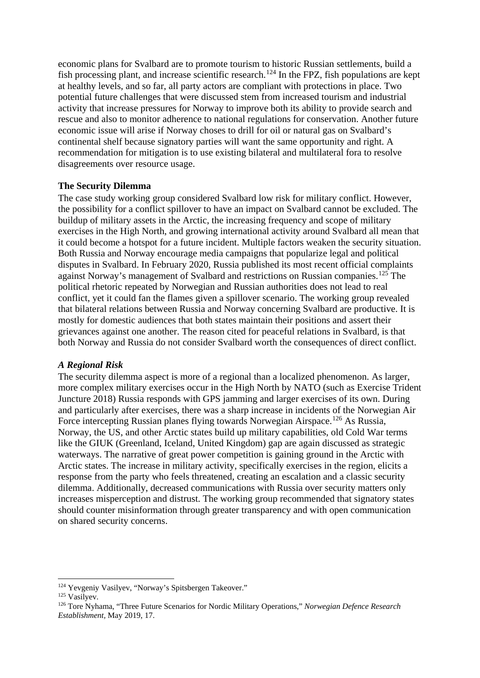<span id="page-21-2"></span><span id="page-21-1"></span><span id="page-21-0"></span>economic plans for Svalbard are to promote tourism to historic Russian settlements, build a fish processing plant, and increase scientific research.<sup>[124](#page-21-0)</sup> In the FPZ, fish populations are kept at healthy levels, and so far, all party actors are compliant with protections in place. Two potential future challenges that were discussed stem from increased tourism and industrial activity that increase pressures for Norway to improve both its ability to provide search and rescue and also to monitor adherence to national regulations for conservation. Another future economic issue will arise if Norway choses to drill for oil or natural gas on Svalbard's continental shelf because signatory parties will want the same opportunity and right. A recommendation for mitigation is to use existing bilateral and multilateral fora to resolve disagreements over resource usage.

#### **The Security Dilemma**

The case study working group considered Svalbard low risk for military conflict. However, the possibility for a conflict spillover to have an impact on Svalbard cannot be excluded. The buildup of military assets in the Arctic, the increasing frequency and scope of military exercises in the High North, and growing international activity around Svalbard all mean that it could become a hotspot for a future incident. Multiple factors weaken the security situation. Both Russia and Norway encourage media campaigns that popularize legal and political disputes in Svalbard. In February 2020, Russia published its most recent official complaints against Norway's management of Svalbard and restrictions on Russian companies.<sup>[125](#page-21-1)</sup> The political rhetoric repeated by Norwegian and Russian authorities does not lead to real conflict, yet it could fan the flames given a spillover scenario. The working group revealed that bilateral relations between Russia and Norway concerning Svalbard are productive. It is mostly for domestic audiences that both states maintain their positions and assert their grievances against one another. The reason cited for peaceful relations in Svalbard, is that both Norway and Russia do not consider Svalbard worth the consequences of direct conflict.

#### *A Regional Risk*

The security dilemma aspect is more of a regional than a localized phenomenon. As larger, more complex military exercises occur in the High North by NATO (such as Exercise Trident Juncture 2018) Russia responds with GPS jamming and larger exercises of its own. During and particularly after exercises, there was a sharp increase in incidents of the Norwegian Air Force intercepting Russian planes flying towards Norwegian Airspace.<sup>[126](#page-21-2)</sup> As Russia, Norway, the US, and other Arctic states build up military capabilities, old Cold War terms like the GIUK (Greenland, Iceland, United Kingdom) gap are again discussed as strategic waterways. The narrative of great power competition is gaining ground in the Arctic with Arctic states. The increase in military activity, specifically exercises in the region, elicits a response from the party who feels threatened, creating an escalation and a classic security dilemma. Additionally, decreased communications with Russia over security matters only increases misperception and distrust. The working group recommended that signatory states should counter misinformation through greater transparency and with open communication on shared security concerns.

 $\overline{a}$ 

<sup>124</sup> Yevgeniy Vasilyev, "Norway's Spitsbergen Takeover."

<sup>125</sup> Vasilyev.

<sup>126</sup> Tore Nyhama, "Three Future Scenarios for Nordic Military Operations," *Norwegian Defence Research Establishment,* May 2019, 17.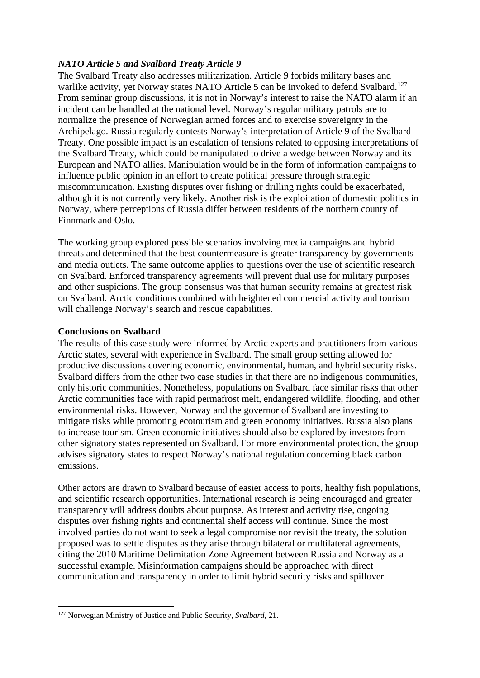# <span id="page-22-0"></span>*NATO Article 5 and Svalbard Treaty Article 9*

The Svalbard Treaty also addresses militarization. Article 9 forbids military bases and warlike activity, yet Norway states NATO Article 5 can be invoked to defend Svalbard.<sup>[127](#page-22-0)</sup> From seminar group discussions, it is not in Norway's interest to raise the NATO alarm if an incident can be handled at the national level. Norway's regular military patrols are to normalize the presence of Norwegian armed forces and to exercise sovereignty in the Archipelago. Russia regularly contests Norway's interpretation of Article 9 of the Svalbard Treaty. One possible impact is an escalation of tensions related to opposing interpretations of the Svalbard Treaty, which could be manipulated to drive a wedge between Norway and its European and NATO allies. Manipulation would be in the form of information campaigns to influence public opinion in an effort to create political pressure through strategic miscommunication. Existing disputes over fishing or drilling rights could be exacerbated, although it is not currently very likely. Another risk is the exploitation of domestic politics in Norway, where perceptions of Russia differ between residents of the northern county of Finnmark and Oslo.

The working group explored possible scenarios involving media campaigns and hybrid threats and determined that the best countermeasure is greater transparency by governments and media outlets. The same outcome applies to questions over the use of scientific research on Svalbard. Enforced transparency agreements will prevent dual use for military purposes and other suspicions. The group consensus was that human security remains at greatest risk on Svalbard. Arctic conditions combined with heightened commercial activity and tourism will challenge Norway's search and rescue capabilities.

# **Conclusions on Svalbard**

The results of this case study were informed by Arctic experts and practitioners from various Arctic states, several with experience in Svalbard. The small group setting allowed for productive discussions covering economic, environmental, human, and hybrid security risks. Svalbard differs from the other two case studies in that there are no indigenous communities, only historic communities. Nonetheless, populations on Svalbard face similar risks that other Arctic communities face with rapid permafrost melt, endangered wildlife, flooding, and other environmental risks. However, Norway and the governor of Svalbard are investing to mitigate risks while promoting ecotourism and green economy initiatives. Russia also plans to increase tourism. Green economic initiatives should also be explored by investors from other signatory states represented on Svalbard. For more environmental protection, the group advises signatory states to respect Norway's national regulation concerning black carbon emissions.

Other actors are drawn to Svalbard because of easier access to ports, healthy fish populations, and scientific research opportunities. International research is being encouraged and greater transparency will address doubts about purpose. As interest and activity rise, ongoing disputes over fishing rights and continental shelf access will continue. Since the most involved parties do not want to seek a legal compromise nor revisit the treaty, the solution proposed was to settle disputes as they arise through bilateral or multilateral agreements, citing the 2010 Maritime Delimitation Zone Agreement between Russia and Norway as a successful example. Misinformation campaigns should be approached with direct communication and transparency in order to limit hybrid security risks and spillover

 $\overline{a}$ <sup>127</sup> Norwegian Ministry of Justice and Public Security, *Svalbard,* 21.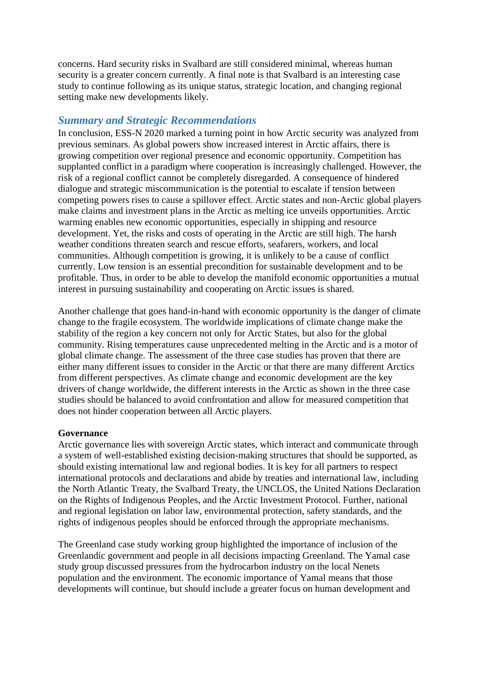concerns. Hard security risks in Svalbard are still considered minimal, whereas human security is a greater concern currently. A final note is that Svalbard is an interesting case study to continue following as its unique status, strategic location, and changing regional setting make new developments likely.

# *Summary and Strategic Recommendations*

In conclusion, ESS-N 2020 marked a turning point in how Arctic security was analyzed from previous seminars. As global powers show increased interest in Arctic affairs, there is growing competition over regional presence and economic opportunity. Competition has supplanted conflict in a paradigm where cooperation is increasingly challenged. However, the risk of a regional conflict cannot be completely disregarded. A consequence of hindered dialogue and strategic miscommunication is the potential to escalate if tension between competing powers rises to cause a spillover effect. Arctic states and non-Arctic global players make claims and investment plans in the Arctic as melting ice unveils opportunities. Arctic warming enables new economic opportunities, especially in shipping and resource development. Yet, the risks and costs of operating in the Arctic are still high. The harsh weather conditions threaten search and rescue efforts, seafarers, workers, and local communities. Although competition is growing, it is unlikely to be a cause of conflict currently. Low tension is an essential precondition for sustainable development and to be profitable. Thus, in order to be able to develop the manifold economic opportunities a mutual interest in pursuing sustainability and cooperating on Arctic issues is shared.

Another challenge that goes hand-in-hand with economic opportunity is the danger of climate change to the fragile ecosystem. The worldwide implications of climate change make the stability of the region a key concern not only for Arctic States, but also for the global community. Rising temperatures cause unprecedented melting in the Arctic and is a motor of global climate change. The assessment of the three case studies has proven that there are either many different issues to consider in the Arctic or that there are many different Arctics from different perspectives. As climate change and economic development are the key drivers of change worldwide, the different interests in the Arctic as shown in the three case studies should be balanced to avoid confrontation and allow for measured competition that does not hinder cooperation between all Arctic players.

#### **Governance**

Arctic governance lies with sovereign Arctic states, which interact and communicate through a system of well-established existing decision-making structures that should be supported, as should existing international law and regional bodies. It is key for all partners to respect international protocols and declarations and abide by treaties and international law, including the North Atlantic Treaty, the Svalbard Treaty, the UNCLOS, the United Nations Declaration on the Rights of Indigenous Peoples, and the Arctic Investment Protocol. Further, national and regional legislation on labor law, environmental protection, safety standards, and the rights of indigenous peoples should be enforced through the appropriate mechanisms.

The Greenland case study working group highlighted the importance of inclusion of the Greenlandic government and people in all decisions impacting Greenland. The Yamal case study group discussed pressures from the hydrocarbon industry on the local Nenets population and the environment. The economic importance of Yamal means that those developments will continue, but should include a greater focus on human development and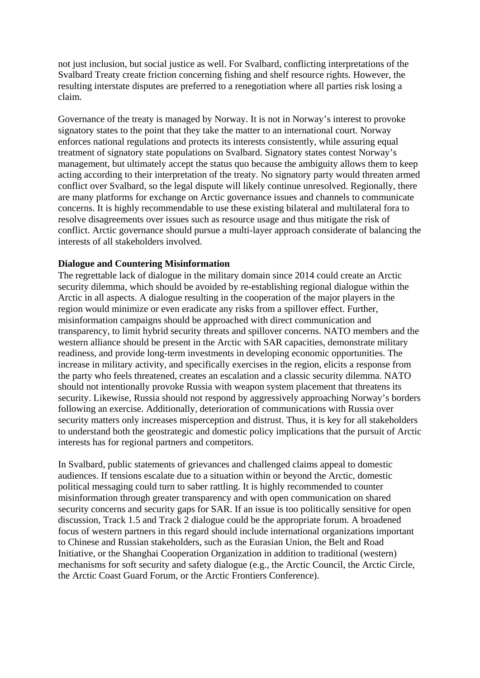not just inclusion, but social justice as well. For Svalbard, conflicting interpretations of the Svalbard Treaty create friction concerning fishing and shelf resource rights. However, the resulting interstate disputes are preferred to a renegotiation where all parties risk losing a claim.

Governance of the treaty is managed by Norway. It is not in Norway's interest to provoke signatory states to the point that they take the matter to an international court. Norway enforces national regulations and protects its interests consistently, while assuring equal treatment of signatory state populations on Svalbard. Signatory states contest Norway's management, but ultimately accept the status quo because the ambiguity allows them to keep acting according to their interpretation of the treaty. No signatory party would threaten armed conflict over Svalbard, so the legal dispute will likely continue unresolved. Regionally, there are many platforms for exchange on Arctic governance issues and channels to communicate concerns. It is highly recommendable to use these existing bilateral and multilateral fora to resolve disagreements over issues such as resource usage and thus mitigate the risk of conflict. Arctic governance should pursue a multi-layer approach considerate of balancing the interests of all stakeholders involved.

#### **Dialogue and Countering Misinformation**

The regrettable lack of dialogue in the military domain since 2014 could create an Arctic security dilemma, which should be avoided by re-establishing regional dialogue within the Arctic in all aspects. A dialogue resulting in the cooperation of the major players in the region would minimize or even eradicate any risks from a spillover effect. Further, misinformation campaigns should be approached with direct communication and transparency, to limit hybrid security threats and spillover concerns. NATO members and the western alliance should be present in the Arctic with SAR capacities, demonstrate military readiness, and provide long-term investments in developing economic opportunities. The increase in military activity, and specifically exercises in the region, elicits a response from the party who feels threatened, creates an escalation and a classic security dilemma. NATO should not intentionally provoke Russia with weapon system placement that threatens its security. Likewise, Russia should not respond by aggressively approaching Norway's borders following an exercise. Additionally, deterioration of communications with Russia over security matters only increases misperception and distrust. Thus, it is key for all stakeholders to understand both the geostrategic and domestic policy implications that the pursuit of Arctic interests has for regional partners and competitors.

In Svalbard, public statements of grievances and challenged claims appeal to domestic audiences. If tensions escalate due to a situation within or beyond the Arctic, domestic political messaging could turn to saber rattling. It is highly recommended to counter misinformation through greater transparency and with open communication on shared security concerns and security gaps for SAR. If an issue is too politically sensitive for open discussion, Track 1.5 and Track 2 dialogue could be the appropriate forum. A broadened focus of western partners in this regard should include international organizations important to Chinese and Russian stakeholders, such as the Eurasian Union, the Belt and Road Initiative, or the Shanghai Cooperation Organization in addition to traditional (western) mechanisms for soft security and safety dialogue (e.g., the Arctic Council, the Arctic Circle, the Arctic Coast Guard Forum, or the Arctic Frontiers Conference).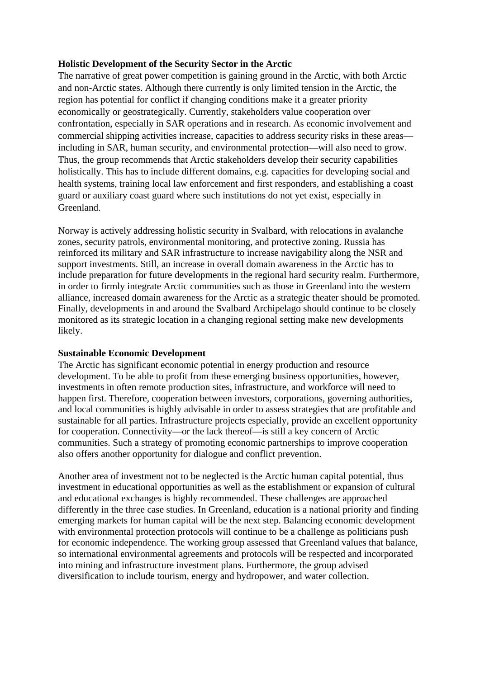## **Holistic Development of the Security Sector in the Arctic**

The narrative of great power competition is gaining ground in the Arctic, with both Arctic and non-Arctic states. Although there currently is only limited tension in the Arctic, the region has potential for conflict if changing conditions make it a greater priority economically or geostrategically. Currently, stakeholders value cooperation over confrontation, especially in SAR operations and in research. As economic involvement and commercial shipping activities increase, capacities to address security risks in these areas including in SAR, human security, and environmental protection—will also need to grow. Thus, the group recommends that Arctic stakeholders develop their security capabilities holistically. This has to include different domains, e.g. capacities for developing social and health systems, training local law enforcement and first responders, and establishing a coast guard or auxiliary coast guard where such institutions do not yet exist, especially in Greenland.

Norway is actively addressing holistic security in Svalbard, with relocations in avalanche zones, security patrols, environmental monitoring, and protective zoning. Russia has reinforced its military and SAR infrastructure to increase navigability along the NSR and support investments. Still, an increase in overall domain awareness in the Arctic has to include preparation for future developments in the regional hard security realm. Furthermore, in order to firmly integrate Arctic communities such as those in Greenland into the western alliance, increased domain awareness for the Arctic as a strategic theater should be promoted. Finally, developments in and around the Svalbard Archipelago should continue to be closely monitored as its strategic location in a changing regional setting make new developments likely.

# **Sustainable Economic Development**

The Arctic has significant economic potential in energy production and resource development. To be able to profit from these emerging business opportunities, however, investments in often remote production sites, infrastructure, and workforce will need to happen first. Therefore, cooperation between investors, corporations, governing authorities, and local communities is highly advisable in order to assess strategies that are profitable and sustainable for all parties. Infrastructure projects especially, provide an excellent opportunity for cooperation. Connectivity—or the lack thereof—is still a key concern of Arctic communities. Such a strategy of promoting economic partnerships to improve cooperation also offers another opportunity for dialogue and conflict prevention.

Another area of investment not to be neglected is the Arctic human capital potential, thus investment in educational opportunities as well as the establishment or expansion of cultural and educational exchanges is highly recommended. These challenges are approached differently in the three case studies. In Greenland, education is a national priority and finding emerging markets for human capital will be the next step. Balancing economic development with environmental protection protocols will continue to be a challenge as politicians push for economic independence. The working group assessed that Greenland values that balance, so international environmental agreements and protocols will be respected and incorporated into mining and infrastructure investment plans. Furthermore, the group advised diversification to include tourism, energy and hydropower, and water collection.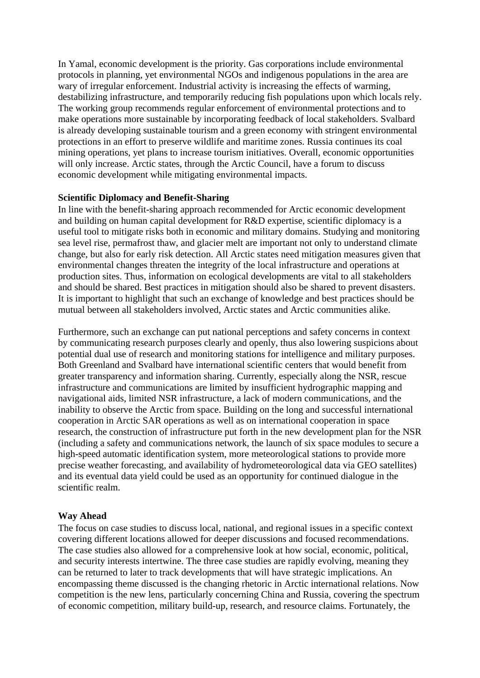In Yamal, economic development is the priority. Gas corporations include environmental protocols in planning, yet environmental NGOs and indigenous populations in the area are wary of irregular enforcement. Industrial activity is increasing the effects of warming, destabilizing infrastructure, and temporarily reducing fish populations upon which locals rely. The working group recommends regular enforcement of environmental protections and to make operations more sustainable by incorporating feedback of local stakeholders. Svalbard is already developing sustainable tourism and a green economy with stringent environmental protections in an effort to preserve wildlife and maritime zones. Russia continues its coal mining operations, yet plans to increase tourism initiatives. Overall, economic opportunities will only increase. Arctic states, through the Arctic Council, have a forum to discuss economic development while mitigating environmental impacts.

#### **Scientific Diplomacy and Benefit-Sharing**

In line with the benefit-sharing approach recommended for Arctic economic development and building on human capital development for R&D expertise, scientific diplomacy is a useful tool to mitigate risks both in economic and military domains. Studying and monitoring sea level rise, permafrost thaw, and glacier melt are important not only to understand climate change, but also for early risk detection. All Arctic states need mitigation measures given that environmental changes threaten the integrity of the local infrastructure and operations at production sites. Thus, information on ecological developments are vital to all stakeholders and should be shared. Best practices in mitigation should also be shared to prevent disasters. It is important to highlight that such an exchange of knowledge and best practices should be mutual between all stakeholders involved, Arctic states and Arctic communities alike.

Furthermore, such an exchange can put national perceptions and safety concerns in context by communicating research purposes clearly and openly, thus also lowering suspicions about potential dual use of research and monitoring stations for intelligence and military purposes. Both Greenland and Svalbard have international scientific centers that would benefit from greater transparency and information sharing. Currently, especially along the NSR, rescue infrastructure and communications are limited by insufficient hydrographic mapping and navigational aids, limited NSR infrastructure, a lack of modern communications, and the inability to observe the Arctic from space. Building on the long and successful international cooperation in Arctic SAR operations as well as on international cooperation in space research, the construction of infrastructure put forth in the new development plan for the NSR (including a safety and communications network, the launch of six space modules to secure a high-speed automatic identification system, more meteorological stations to provide more precise weather forecasting, and availability of hydrometeorological data via GEO satellites) and its eventual data yield could be used as an opportunity for continued dialogue in the scientific realm.

#### **Way Ahead**

The focus on case studies to discuss local, national, and regional issues in a specific context covering different locations allowed for deeper discussions and focused recommendations. The case studies also allowed for a comprehensive look at how social, economic, political, and security interests intertwine. The three case studies are rapidly evolving, meaning they can be returned to later to track developments that will have strategic implications. An encompassing theme discussed is the changing rhetoric in Arctic international relations. Now competition is the new lens, particularly concerning China and Russia, covering the spectrum of economic competition, military build-up, research, and resource claims. Fortunately, the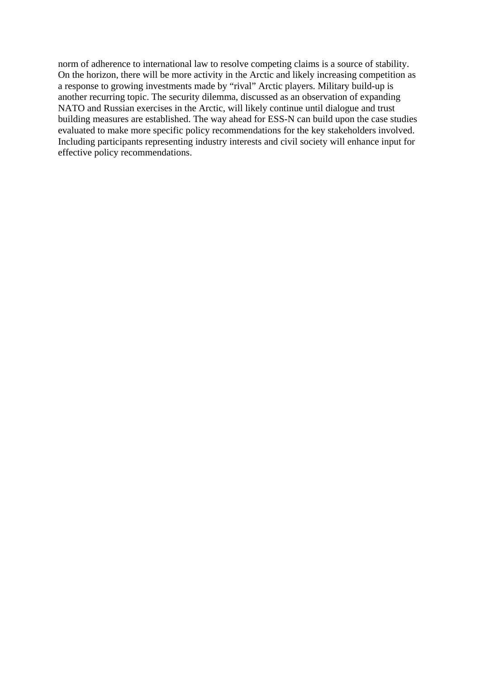norm of adherence to international law to resolve competing claims is a source of stability. On the horizon, there will be more activity in the Arctic and likely increasing competition as a response to growing investments made by "rival" Arctic players. Military build-up is another recurring topic. The security dilemma, discussed as an observation of expanding NATO and Russian exercises in the Arctic, will likely continue until dialogue and trust building measures are established. The way ahead for ESS-N can build upon the case studies evaluated to make more specific policy recommendations for the key stakeholders involved. Including participants representing industry interests and civil society will enhance input for effective policy recommendations.